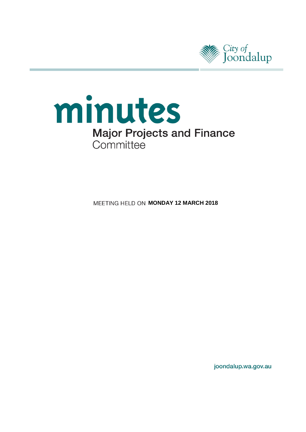



**MEETING HELD ON MONDAY 12 MARCH 2018** 

joondalup.wa.gov.au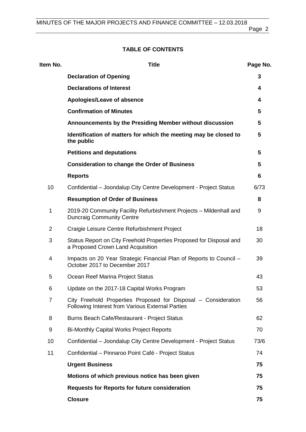Page 2

# **TABLE OF CONTENTS**

| Item No.       | <b>Title</b>                                                                                                       | Page No. |
|----------------|--------------------------------------------------------------------------------------------------------------------|----------|
|                | <b>Declaration of Opening</b>                                                                                      | 3        |
|                | <b>Declarations of Interest</b>                                                                                    | 4        |
|                | Apologies/Leave of absence                                                                                         | 4        |
|                | <b>Confirmation of Minutes</b>                                                                                     | 5        |
|                | Announcements by the Presiding Member without discussion                                                           | 5        |
|                | Identification of matters for which the meeting may be closed to<br>the public                                     | 5        |
|                | <b>Petitions and deputations</b>                                                                                   | 5        |
|                | <b>Consideration to change the Order of Business</b>                                                               | 5        |
|                | <b>Reports</b>                                                                                                     | 6        |
| 10             | Confidential - Joondalup City Centre Development - Project Status                                                  | 6/73     |
|                | <b>Resumption of Order of Business</b>                                                                             | 8        |
| 1              | 2019-20 Community Facility Refurbishment Projects - Mildenhall and<br><b>Duncraig Community Centre</b>             | 9        |
| $\overline{2}$ | Craigie Leisure Centre Refurbishment Project                                                                       | 18       |
| 3              | Status Report on City Freehold Properties Proposed for Disposal and<br>a Proposed Crown Land Acquisition           | 30       |
| 4              | Impacts on 20 Year Strategic Financial Plan of Reports to Council -<br>October 2017 to December 2017               | 39       |
| 5              | Ocean Reef Marina Project Status                                                                                   | 43       |
| 6              | Update on the 2017-18 Capital Works Program                                                                        | 53       |
| $\overline{7}$ | City Freehold Properties Proposed for Disposal - Consideration<br>Following Interest from Various External Parties | 56       |
| 8              | Burns Beach Cafe/Restaurant - Project Status                                                                       | 62       |
| 9              | <b>Bi-Monthly Capital Works Project Reports</b>                                                                    | 70       |
| 10             | Confidential - Joondalup City Centre Development - Project Status                                                  | 73/6     |
| 11             | Confidential - Pinnaroo Point Café - Project Status                                                                | 74       |
|                | <b>Urgent Business</b>                                                                                             | 75       |
|                | Motions of which previous notice has been given                                                                    | 75       |
|                | <b>Requests for Reports for future consideration</b>                                                               | 75       |
|                | <b>Closure</b>                                                                                                     | 75       |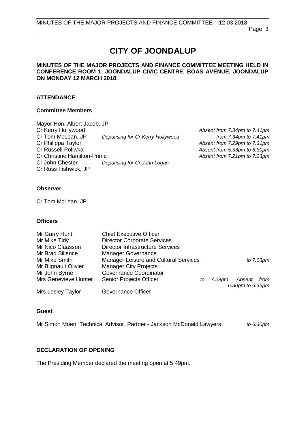# **CITY OF JOONDALUP**

#### **MINUTES OF THE MAJOR PROJECTS AND FINANCE COMMITTEE MEETING HELD IN CONFERENCE ROOM 1, JOONDALUP CIVIC CENTRE, BOAS AVENUE, JOONDALUP ON MONDAY 12 MARCH 2018.**

### **ATTENDANCE**

#### **Committee Members**

| Mayor Hon. Albert Jacob, JP        |                                   |                              |
|------------------------------------|-----------------------------------|------------------------------|
| Cr Kerry Hollywood                 |                                   | Absent from 7.34pm to 7.41pm |
| Cr Tom McLean, JP                  | Deputising for Cr Kerry Hollywood | from $7.34$ pm to $7.41$ pm  |
| Cr Philippa Taylor                 |                                   | Absent from 7.29pm to 7.31pm |
| Cr Russell Poliwka                 |                                   | Absent from 5.53pm to 6.30pm |
| <b>Cr Christine Hamilton-Prime</b> |                                   | Absent from 7.21pm to 7.23pm |
| Cr John Chester                    | Deputising for Cr John Logan      |                              |
| Cr Russ Fishwick, JP               |                                   |                              |

#### **Observer**

Cr Tom McLean, JP

#### **Officers**

| Mr Garry Hunt            | <b>Chief Executive Officer</b>               |                           |
|--------------------------|----------------------------------------------|---------------------------|
| Mr Mike Tidy             | <b>Director Corporate Services</b>           |                           |
| Mr Nico Claassen         | <b>Director Infrastructure Services</b>      |                           |
| Mr Brad Sillence         | <b>Manager Governance</b>                    |                           |
| Mr Mike Smith            | <b>Manager Leisure and Cultural Services</b> | to 7.03pm                 |
| Mr Blignault Olivier     | <b>Manager City Projects</b>                 |                           |
| Mr John Byrne            | Governance Coordinator                       |                           |
| Mrs Genevieve Hunter     | <b>Senior Projects Officer</b><br>to         | Absent<br>from<br>7.29pm; |
|                          |                                              | 6.30pm to 6.35pm          |
| <b>Mrs Lesley Taylor</b> | Governance Officer                           |                           |

#### **Guest**

Mr Simon Moen, Technical Advisor, Partner - Jackson McDonald Lawyers *to 6.30pm*

#### <span id="page-2-0"></span>**DECLARATION OF OPENING**

The Presiding Member declared the meeting open at 5.49pm.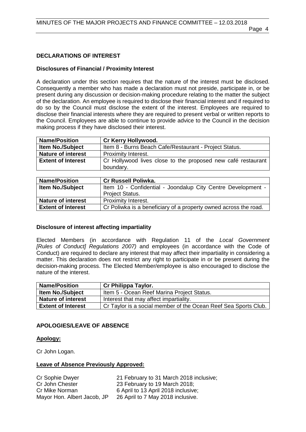# <span id="page-3-0"></span>**DECLARATIONS OF INTEREST**

# **Disclosures of Financial / Proximity Interest**

A declaration under this section requires that the nature of the interest must be disclosed. Consequently a member who has made a declaration must not preside, participate in, or be present during any discussion or decision-making procedure relating to the matter the subject of the declaration. An employee is required to disclose their financial interest and if required to do so by the Council must disclose the extent of the interest. Employees are required to disclose their financial interests where they are required to present verbal or written reports to the Council. Employees are able to continue to provide advice to the Council in the decision making process if they have disclosed their interest.

| <b>Name/Position</b>      | Cr Kerry Hollywood.                                                       |  |
|---------------------------|---------------------------------------------------------------------------|--|
| <b>Item No./Subject</b>   | Item 8 - Burns Beach Cafe/Restaurant - Project Status.                    |  |
| <b>Nature of interest</b> | <b>Proximity Interest.</b>                                                |  |
| <b>Extent of Interest</b> | Cr Hollywood lives close to the proposed new café restaurant<br>boundary. |  |
|                           |                                                                           |  |

| <b>Name/Position</b>      | <b>Cr Russell Poliwka.</b>                                       |
|---------------------------|------------------------------------------------------------------|
| <b>Item No./Subject</b>   | Item 10 - Confidential - Joondalup City Centre Development -     |
|                           | <b>Project Status.</b>                                           |
| <b>Nature of interest</b> | <b>Proximity Interest.</b>                                       |
| <b>Extent of Interest</b> | Cr Poliwka is a beneficiary of a property owned across the road. |

# **Disclosure of interest affecting impartiality**

Elected Members (in accordance with Regulation 11 of the *Local Government [Rules of Conduct] Regulations 2007)* and employees (in accordance with the Code of Conduct) are required to declare any interest that may affect their impartiality in considering a matter. This declaration does not restrict any right to participate in or be present during the decision-making process. The Elected Member/employee is also encouraged to disclose the nature of the interest.

| <b>Name/Position</b>      | Cr Philippa Taylor.                                             |
|---------------------------|-----------------------------------------------------------------|
| <b>Item No./Subject</b>   | Item 5 - Ocean Reef Marina Project Status.                      |
| <b>Nature of interest</b> | Interest that may affect impartiality.                          |
| <b>Extent of Interest</b> | Cr Taylor is a social member of the Ocean Reef Sea Sports Club. |

# <span id="page-3-1"></span>**APOLOGIES/LEAVE OF ABSENCE**

# **Apology:**

Cr John Logan.

# **Leave of Absence Previously Approved:**

| Cr Sophie Dwyer             | 21 February to 31 March 2018 inclusive; |
|-----------------------------|-----------------------------------------|
| Cr John Chester             | 23 February to 19 March 2018;           |
| Cr Mike Norman              | 6 April to 13 April 2018 inclusive;     |
| Mayor Hon. Albert Jacob, JP | 26 April to 7 May 2018 inclusive.       |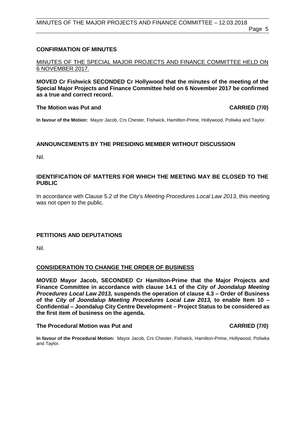### <span id="page-4-0"></span>**CONFIRMATION OF MINUTES**

#### MINUTES OF THE SPECIAL MAJOR PROJECTS AND FINANCE COMMITTEE HELD ON 6 NOVEMBER 2017.

**MOVED Cr Fishwick SECONDED Cr Hollywood that the minutes of the meeting of the Special Major Projects and Finance Committee held on 6 November 2017 be confirmed as a true and correct record.**

#### **The Motion was Put and CARRIED (7/0)**

**In favour of the Motion:** Mayor Jacob, Crs Chester, Fishwick, Hamilton-Prime, Hollywood, Poliwka and Taylor.

### <span id="page-4-1"></span>**ANNOUNCEMENTS BY THE PRESIDING MEMBER WITHOUT DISCUSSION**

Nil.

#### <span id="page-4-2"></span>**IDENTIFICATION OF MATTERS FOR WHICH THE MEETING MAY BE CLOSED TO THE PUBLIC**

In accordance with Clause 5.2 of the City's *Meeting Procedures Local Law 2013*, this meeting was not open to the public.

#### <span id="page-4-3"></span>**PETITIONS AND DEPUTATIONS**

Nil.

#### <span id="page-4-4"></span>**CONSIDERATION TO CHANGE THE ORDER OF BUSINESS**

**MOVED Mayor Jacob, SECONDED Cr Hamilton-Prime that the Major Projects and Finance Committee in accordance with clause 14.1 of the** *City of Joondalup Meeting Procedures Local Law 2013,* **suspends the operation of clause 4.3 – Order of Business of the** *City of Joondalup Meeting Procedures Local Law 2013,* **to enable Item 10 – Confidential – Joondalup City Centre Development – Project Status to be considered as the first item of business on the agenda.**

#### **The Procedural Motion was Put and CARRIED (7/0)**

**In favour of the Procedural Motion:** Mayor Jacob, Crs Chester, Fishwick, Hamilton-Prime, Hollywood, Poliwka and Taylor.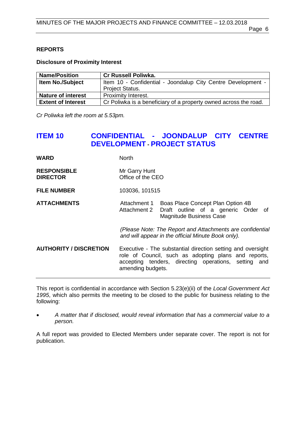### <span id="page-5-0"></span>**REPORTS**

**Disclosure of Proximity Interest**

| <b>Name/Position</b>      | <b>Cr Russell Poliwka.</b>                                       |
|---------------------------|------------------------------------------------------------------|
| <b>Item No./Subject</b>   | Item 10 - Confidential - Joondalup City Centre Development -     |
|                           | <b>Project Status.</b>                                           |
| <b>Nature of interest</b> | Proximity Interest.                                              |
| <b>Extent of Interest</b> | Cr Poliwka is a beneficiary of a property owned across the road. |

*Cr Poliwka left the room at 5.53pm.*

# **ITEM 10 CONFIDENTIAL - JOONDALUP CITY CENTRE DEVELOPMENT - PROJECT STATUS**

| <b>WARD</b>        | <b>North</b>      |
|--------------------|-------------------|
| <b>RESPONSIBLE</b> | Mr Garry Hunt     |
| <b>DIRECTOR</b>    | Office of the CEO |

**FILE NUMBER** 103036, 101515

#### **ATTACHMENTS** Attachment 1 Boas Place Concept Plan Option 4B Attachment 2 Draft outline of a generic Order of Magnitude Business Case

*(Please Note: The Report and Attachments are confidential and will appear in the official Minute Book only).*

### **AUTHORITY / DISCRETION** Executive - The substantial direction setting and oversight role of Council, such as adopting plans and reports, accepting tenders, directing operations, setting and amending budgets.

This report is confidential in accordance with Section 5.23(e)(ii) of the *Local Government Act 1995*, which also permits the meeting to be closed to the public for business relating to the following:

• *A matter that if disclosed, would reveal information that has a commercial value to a person.*

A full report was provided to Elected Members under separate cover. The report is not for publication.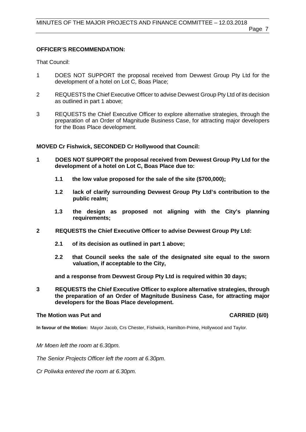# **OFFICER'S RECOMMENDATION:**

That Council:

- 1 DOES NOT SUPPORT the proposal received from Devwest Group Pty Ltd for the development of a hotel on Lot C, Boas Place;
- 2 REQUESTS the Chief Executive Officer to advise Devwest Group Pty Ltd of its decision as outlined in part 1 above;
- 3 REQUESTS the Chief Executive Officer to explore alternative strategies, through the preparation of an Order of Magnitude Business Case, for attracting major developers for the Boas Place development.

**MOVED Cr Fishwick, SECONDED Cr Hollywood that Council:** 

- **1 DOES NOT SUPPORT the proposal received from Devwest Group Pty Ltd for the development of a hotel on Lot C, Boas Place due to:**
	- **1.1 the low value proposed for the sale of the site (\$700,000);**
	- **1.2 lack of clarify surrounding Devwest Group Pty Ltd's contribution to the public realm;**
	- **1.3 the design as proposed not aligning with the City's planning requirements;**
- **2 REQUESTS the Chief Executive Officer to advise Devwest Group Pty Ltd:**
	- **2.1 of its decision as outlined in part 1 above;**
	- **2.2 that Council seeks the sale of the designated site equal to the sworn valuation, if acceptable to the City,**

**and a response from Devwest Group Pty Ltd is required within 30 days;**

**3 REQUESTS the Chief Executive Officer to explore alternative strategies, through the preparation of an Order of Magnitude Business Case, for attracting major developers for the Boas Place development.** 

## **The Motion was Put and CARRIED (6/0)**

**In favour of the Motion:** Mayor Jacob, Crs Chester, Fishwick, Hamilton-Prime, Hollywood and Taylor.

*Mr Moen left the room at 6.30pm.*

*The Senior Projects Officer left the room at 6.30pm.*

*Cr Poliwka entered the room at 6.30pm.*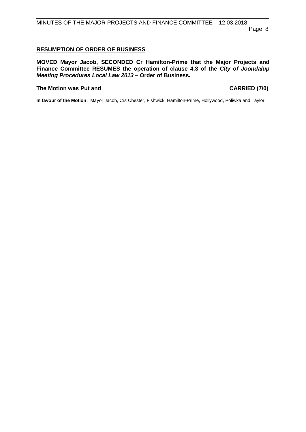# <span id="page-7-0"></span>**RESUMPTION OF ORDER OF BUSINESS**

**MOVED Mayor Jacob, SECONDED Cr Hamilton-Prime that the Major Projects and Finance Committee RESUMES the operation of clause 4.3 of the** *City of Joondalup Meeting Procedures Local Law 2013* **– Order of Business.**

## **The Motion was Put and CARRIED (7/0)**

**In favour of the Motion:** Mayor Jacob, Crs Chester, Fishwick, Hamilton-Prime, Hollywood, Poliwka and Taylor.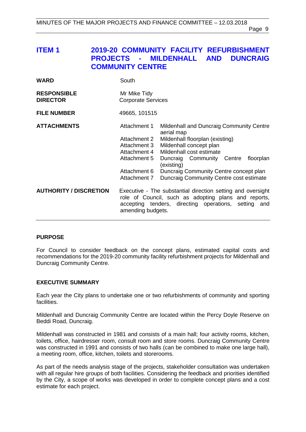# <span id="page-8-0"></span>**ITEM 1 2019-20 COMMUNITY FACILITY REFURBISHMENT MILDENHALL AND COMMUNITY CENTRE**

| <b>WARD</b>                           | South                                                                                                                                                                                                                                                                                                                                                                                                      |  |
|---------------------------------------|------------------------------------------------------------------------------------------------------------------------------------------------------------------------------------------------------------------------------------------------------------------------------------------------------------------------------------------------------------------------------------------------------------|--|
| <b>RESPONSIBLE</b><br><b>DIRECTOR</b> | Mr Mike Tidy<br><b>Corporate Services</b>                                                                                                                                                                                                                                                                                                                                                                  |  |
| <b>FILE NUMBER</b>                    | 49665, 101515                                                                                                                                                                                                                                                                                                                                                                                              |  |
| <b>ATTACHMENTS</b>                    | Attachment 1<br>Mildenhall and Duncraig Community Centre<br>aerial map<br>Attachment 2<br>Mildenhall floorplan (existing)<br>Mildenhall concept plan<br>Attachment 3<br>Mildenhall cost estimate<br>Attachment 4<br>Attachment 5<br>Duncraig Community Centre floorplan<br>(existing)<br>Attachment 6<br>Duncraig Community Centre concept plan<br>Attachment 7<br>Duncraig Community Centre cost estimate |  |
| <b>AUTHORITY / DISCRETION</b>         | Executive - The substantial direction setting and oversight<br>role of Council, such as adopting plans and reports,<br>accepting tenders, directing operations, setting and<br>amending budgets.                                                                                                                                                                                                           |  |

#### **PURPOSE**

For Council to consider feedback on the concept plans, estimated capital costs and recommendations for the 2019-20 community facility refurbishment projects for Mildenhall and Duncraig Community Centre.

#### **EXECUTIVE SUMMARY**

Each year the City plans to undertake one or two refurbishments of community and sporting facilities.

Mildenhall and Duncraig Community Centre are located within the Percy Doyle Reserve on Beddi Road, Duncraig.

Mildenhall was constructed in 1981 and consists of a main hall; four activity rooms, kitchen, toilets, office, hairdresser room, consult room and store rooms. Duncraig Community Centre was constructed in 1991 and consists of two halls (can be combined to make one large hall), a meeting room, office, kitchen, toilets and storerooms.

As part of the needs analysis stage of the projects, stakeholder consultation was undertaken with all regular hire groups of both facilities. Considering the feedback and priorities identified by the City, a scope of works was developed in order to complete concept plans and a cost estimate for each project.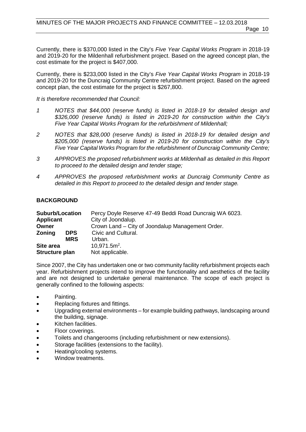Currently, there is \$370,000 listed in the City's *Five Year Capital Works Program* in 2018-19 and 2019-20 for the Mildenhall refurbishment project. Based on the agreed concept plan, the cost estimate for the project is \$407,000.

Currently, there is \$233,000 listed in the City's *Five Year Capital Works Program* in 2018-19 and 2019-20 for the Duncraig Community Centre refurbishment project. Based on the agreed concept plan, the cost estimate for the project is \$267,800.

*It is therefore recommended that Council:*

- *1 NOTES that \$44,000 (reserve funds) is listed in 2018-19 for detailed design and \$326,000 (reserve funds) is listed in 2019-20 for construction within the City's Five Year Capital Works Program for the refurbishment of Mildenhall;*
- *2 NOTES that \$28,000 (reserve funds) is listed in 2018-19 for detailed design and \$205,000 (reserve funds) is listed in 2019-20 for construction within the City's Five Year Capital Works Program for the refurbishment of Duncraig Community Centre;*
- *3 APPROVES the proposed refurbishment works at Mildenhall as detailed in this Report to proceed to the detailed design and tender stage;*
- *4 APPROVES the proposed refurbishment works at Duncraig Community Centre as detailed in this Report to proceed to the detailed design and tender stage.*

### **BACKGROUND**

| <b>Suburb/Location</b> |            | Percy Doyle Reserve 47-49 Beddi Road Duncraig WA 6023. |
|------------------------|------------|--------------------------------------------------------|
| <b>Applicant</b>       |            | City of Joondalup.                                     |
| Owner                  |            | Crown Land – City of Joondalup Management Order.       |
| <b>Zoning</b>          | <b>DPS</b> | Civic and Cultural.                                    |
|                        | <b>MRS</b> | Urban.                                                 |
| Site area              |            | $10.971.5m2$ .                                         |
| Structure plan         |            | Not applicable.                                        |

Since 2007, the City has undertaken one or two community facility refurbishment projects each year. Refurbishment projects intend to improve the functionality and aesthetics of the facility and are not designed to undertake general maintenance. The scope of each project is generally confined to the following aspects:

- Painting.
- Replacing fixtures and fittings.
- Upgrading external environments for example building pathways, landscaping around the building, signage.
- Kitchen facilities.
- Floor coverings.
- Toilets and changerooms (including refurbishment or new extensions).
- Storage facilities (extensions to the facility).
- Heating/cooling systems.
- Window treatments.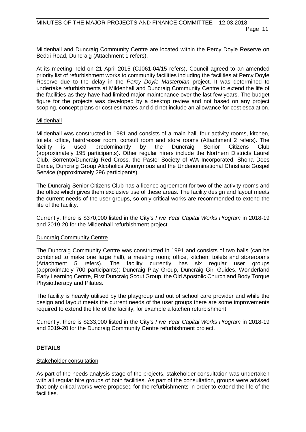Mildenhall and Duncraig Community Centre are located within the Percy Doyle Reserve on Beddi Road, Duncraig (Attachment 1 refers).

At its meeting held on 21 April 2015 (CJ061-04/15 refers), Council agreed to an amended priority list of refurbishment works to community facilities including the facilities at Percy Doyle Reserve due to the delay in the *Percy Doyle Masterplan* project. It was determined to undertake refurbishments at Mildenhall and Duncraig Community Centre to extend the life of the facilities as they have had limited major maintenance over the last few years. The budget figure for the projects was developed by a desktop review and not based on any project scoping, concept plans or cost estimates and did not include an allowance for cost escalation.

#### Mildenhall

Mildenhall was constructed in 1981 and consists of a main hall, four activity rooms, kitchen, toilets, office, hairdresser room, consult room and store rooms (Attachment 2 refers). The facility is used predominantly by the Duncraig Senior Citizens Club (approximately 195 participants). Other regular hirers include the Northern Districts Laurel Club, Sorrento/Duncraig Red Cross, the Pastel Society of WA Incorporated, Shona Dees Dance, Duncraig Group Alcoholics Anonymous and the Undenominational Christians Gospel Service (approximately 296 participants).

The Duncraig Senior Citizens Club has a licence agreement for two of the activity rooms and the office which gives them exclusive use of these areas. The facility design and layout meets the current needs of the user groups, so only critical works are recommended to extend the life of the facility.

Currently, there is \$370,000 listed in the City's *Five Year Capital Works Program* in 2018-19 and 2019-20 for the Mildenhall refurbishment project.

#### Duncraig Community Centre

The Duncraig Community Centre was constructed in 1991 and consists of two halls (can be combined to make one large hall), a meeting room; office, kitchen; toilets and storerooms (Attachment 5 refers). The facility currently has six regular user groups (approximately 700 participants): Duncraig Play Group, Duncraig Girl Guides, Wonderland Early Learning Centre, First Duncraig Scout Group, the Old Apostolic Church and Body Torque Physiotherapy and Pilates.

The facility is heavily utilised by the playgroup and out of school care provider and while the design and layout meets the current needs of the user groups there are some improvements required to extend the life of the facility, for example a kitchen refurbishment.

Currently, there is \$233,000 listed in the City's *Five Year Capital Works Program* in 2018-19 and 2019-20 for the Duncraig Community Centre refurbishment project.

### **DETAILS**

#### Stakeholder consultation

As part of the needs analysis stage of the projects, stakeholder consultation was undertaken with all regular hire groups of both facilities. As part of the consultation, groups were advised that only critical works were proposed for the refurbishments in order to extend the life of the facilities.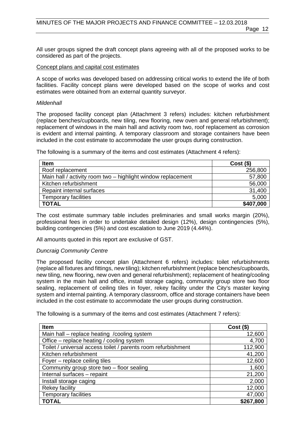All user groups signed the draft concept plans agreeing with all of the proposed works to be considered as part of the projects.

#### Concept plans and capital cost estimates

A scope of works was developed based on addressing critical works to extend the life of both facilities. Facility concept plans were developed based on the scope of works and cost estimates were obtained from an external quantity surveyor.

#### *Mildenhall*

The proposed facility concept plan (Attachment 3 refers) includes: kitchen refurbishment (replace benches/cupboards, new tiling, new flooring, new oven and general refurbishment); replacement of windows in the main hall and activity room two, roof replacement as corrosion is evident and internal painting. A temporary classroom and storage containers have been included in the cost estimate to accommodate the user groups during construction.

The following is a summary of the items and cost estimates (Attachment 4 refers):

| <b>Item</b>                                                  | $Cost($ \$) |
|--------------------------------------------------------------|-------------|
| Roof replacement                                             | 256,800     |
| Main hall / activity room two – highlight window replacement | 57,800      |
| Kitchen refurbishment                                        | 56,000      |
| Repaint internal surfaces                                    | 31,400      |
| <b>Temporary facilities</b>                                  | 5,000       |
| <b>TOTAL</b>                                                 | \$407,000   |

The cost estimate summary table includes preliminaries and small works margin (20%), professional fees in order to undertake detailed design (12%), design contingencies (5%), building contingencies (5%) and cost escalation to June 2019 (4.44%).

All amounts quoted in this report are exclusive of GST.

#### *Duncraig Community Centre*

The proposed facility concept plan (Attachment 6 refers) includes: toilet refurbishments (replace all fixtures and fittings, new tiling); kitchen refurbishment (replace benches/cupboards, new tiling, new flooring, new oven and general refurbishment); replacement of heating/cooling system in the main hall and office, install storage caging, community group store two floor sealing, replacement of ceiling tiles in foyer, rekey facility under the City's master keying system and internal painting. A temporary classroom, office and storage containers have been included in the cost estimate to accommodate the user groups during construction.

The following is a summary of the items and cost estimates (Attachment 7 refers):

| <b>Item</b>                                                   | $Cost($ \$) |
|---------------------------------------------------------------|-------------|
| Main hall - replace heating / cooling system                  | 12,600      |
| Office – replace heating / cooling system                     | 4,700       |
| Toilet / universal access toilet / parents room refurbishment | 112,900     |
| Kitchen refurbishment                                         | 41,200      |
| Foyer - replace ceiling tiles                                 | 12,600      |
| Community group store two - floor sealing                     | 1,600       |
| Internal surfaces - repaint                                   | 21,200      |
| Install storage caging                                        | 2,000       |
| Rekey facility                                                | 12,000      |
| <b>Temporary facilities</b>                                   | 47,000      |
| <b>TOTAL</b>                                                  | \$267,800   |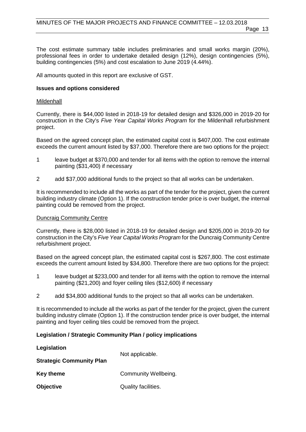The cost estimate summary table includes preliminaries and small works margin (20%), professional fees in order to undertake detailed design (12%), design contingencies (5%), building contingencies (5%) and cost escalation to June 2019 (4.44%).

All amounts quoted in this report are exclusive of GST.

#### **Issues and options considered**

#### Mildenhall

Currently, there is \$44,000 listed in 2018-19 for detailed design and \$326,000 in 2019-20 for construction in the City's *Five Year Capital Works Program* for the Mildenhall refurbishment project.

Based on the agreed concept plan, the estimated capital cost is \$407,000. The cost estimate exceeds the current amount listed by \$37,000. Therefore there are two options for the project:

- 1 leave budget at \$370,000 and tender for all items with the option to remove the internal painting (\$31,400) if necessary
- 2 add \$37,000 additional funds to the project so that all works can be undertaken.

It is recommended to include all the works as part of the tender for the project, given the current building industry climate (Option 1). If the construction tender price is over budget, the internal painting could be removed from the project.

#### Duncraig Community Centre

Currently, there is \$28,000 listed in 2018-19 for detailed design and \$205,000 in 2019-20 for construction in the City's *Five Year Capital Works Program* for the Duncraig Community Centre refurbishment project.

Based on the agreed concept plan, the estimated capital cost is \$267,800. The cost estimate exceeds the current amount listed by \$34,800. Therefore there are two options for the project:

- 1 leave budget at \$233,000 and tender for all items with the option to remove the internal painting (\$21,200) and foyer ceiling tiles (\$12,600) if necessary
- 2 add \$34,800 additional funds to the project so that all works can be undertaken.

It is recommended to include all the works as part of the tender for the project, given the current building industry climate (Option 1). If the construction tender price is over budget, the internal painting and foyer ceiling tiles could be removed from the project.

#### **Legislation / Strategic Community Plan / policy implications**

| Legislation                     | Not applicable.      |  |  |
|---------------------------------|----------------------|--|--|
| <b>Strategic Community Plan</b> |                      |  |  |
| <b>Key theme</b>                | Community Wellbeing. |  |  |
| Objective                       | Quality facilities.  |  |  |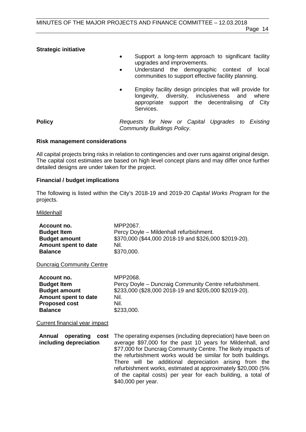#### **Strategic initiative**

- Support a long-term approach to significant facility upgrades and improvements.
- Understand the demographic context of local communities to support effective facility planning.
- Employ facility design principles that will provide for longevity, diversity, inclusiveness appropriate support the decentralising of City Services.

**Policy** *Requests for New or Capital Upgrades to Existing Community Buildings Policy.*

#### **Risk management considerations**

All capital projects bring risks in relation to contingencies and over runs against original design. The capital cost estimates are based on high level concept plans and may differ once further detailed designs are under taken for the project.

#### **Financial / budget implications**

The following is listed within the City's 2018-19 and 2019-20 *Capital Works Program* for the projects.

#### Mildenhall

| Account no.                      | MPP2067.                                               |
|----------------------------------|--------------------------------------------------------|
| <b>Budget Item</b>               | Percy Doyle - Mildenhall refurbishment.                |
| <b>Budget amount</b>             | \$370,000 (\$44,000 2018-19 and \$326,000 \$2019-20).  |
| Amount spent to date             | Nil.                                                   |
| <b>Balance</b>                   | \$370,000.                                             |
| <b>Duncraig Community Centre</b> |                                                        |
| Account no.                      | MPP2068.                                               |
| <b>Budget Item</b>               | Percy Doyle - Duncraig Community Centre refurbishment. |
| <b>Budget amount</b>             | \$233,000 (\$28,000 2018-19 and \$205,000 \$2019-20).  |
| Amount spent to date             | Nil.                                                   |
| <b>Proposed cost</b>             | Nil.                                                   |
| <b>Balance</b>                   | \$233,000.                                             |
| Current financial year impact    |                                                        |

**Annual operating cost** The operating expenses (including depreciation) have been on **including depreciation** average \$97,000 for the past 10 years for Mildenhall, and \$77,000 for Duncraig Community Centre. The likely impacts of the refurbishment works would be similar for both buildings. There will be additional depreciation arising from the refurbishment works, estimated at approximately \$20,000 (5% of the capital costs) per year for each building, a total of \$40,000 per year.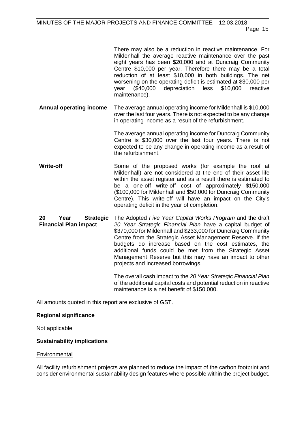There may also be a reduction in reactive maintenance. For Mildenhall the average reactive maintenance over the past eight years has been \$20,000 and at Duncraig Community Centre \$10,000 per year. Therefore there may be a total reduction of at least \$10,000 in both buildings. The net worsening on the operating deficit is estimated at \$30,000 per<br>year (\$40,000 depreciation less \$10,000 reactive depreciation maintenance).

**Annual operating income** The average annual operating income for Mildenhall is \$10,000 over the last four years. There is not expected to be any change in operating income as a result of the refurbishment.

> The average annual operating income for Duncraig Community Centre is \$30,000 over the last four years. There is not expected to be any change in operating income as a result of the refurbishment.

**Write-off** Some of the proposed works (for example the roof at Mildenhall) are not considered at the end of their asset life within the asset register and as a result there is estimated to be a one-off write-off cost of approximately \$150,000 (\$100,000 for Mildenhall and \$50,000 for Duncraig Community Centre). This write-off will have an impact on the City's operating deficit in the year of completion.

**20 Year Strategic Financial Plan impact**  The Adopted *Five Year Capital Works Program* and the draft *20 Year Strategic Financial Plan* have a capital budget of \$370,000 for Mildenhall and \$233,000 for Duncraig Community Centre from the Strategic Asset Management Reserve. If the budgets do increase based on the cost estimates, the additional funds could be met from the Strategic Asset Management Reserve but this may have an impact to other projects and increased borrowings.

> The overall cash impact to the *20 Year Strategic Financial Plan* of the additional capital costs and potential reduction in reactive maintenance is a net benefit of \$150,000.

All amounts quoted in this report are exclusive of GST.

#### **Regional significance**

Not applicable.

#### **Sustainability implications**

#### **Environmental**

All facility refurbishment projects are planned to reduce the impact of the carbon footprint and consider environmental sustainability design features where possible within the project budget.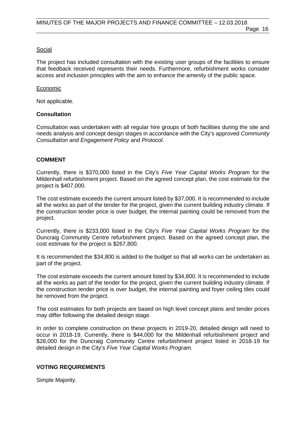#### Social

The project has included consultation with the existing user groups of the facilities to ensure that feedback received represents their needs. Furthermore, refurbishment works consider access and inclusion principles with the aim to enhance the amenity of the public space.

#### Economic

Not applicable.

#### **Consultation**

Consultation was undertaken with all regular hire groups of both facilities during the site and needs analysis and concept design stages in accordance with the City's approved *Community Consultation and Engagement Policy* and *Protocol*.

#### **COMMENT**

Currently, there is \$370,000 listed in the City's *Five Year Capital Works Program* for the Mildenhall refurbishment project. Based on the agreed concept plan, the cost estimate for the project is \$407,000.

The cost estimate exceeds the current amount listed by \$37,000. It is recommended to include all the works as part of the tender for the project, given the current building industry climate. If the construction tender price is over budget, the internal painting could be removed from the project.

Currently, there is \$233,000 listed in the City's *Five Year Capital Works Program* for the Duncraig Community Centre refurbishment project. Based on the agreed concept plan, the cost estimate for the project is \$267,800.

It is recommended the \$34,800 is added to the budget so that all works can be undertaken as part of the project.

The cost estimate exceeds the current amount listed by \$34,800. It is recommended to include all the works as part of the tender for the project, given the current building industry climate. If the construction tender price is over budget, the internal painting and foyer ceiling tiles could be removed from the project.

The cost estimates for both projects are based on high level concept plans and tender prices may differ following the detailed design stage.

In order to complete construction on these projects in 2019-20, detailed design will need to occur in 2018-19. Currently, there is \$44,000 for the Mildenhall refurbishment project and \$28,000 for the Duncraig Community Centre refurbishment project listed in 2018-19 for detailed design in the City's *Five Year Capital Works Program.*

#### **VOTING REQUIREMENTS**

Simple Majority.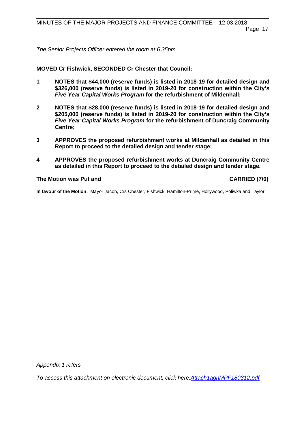Page 17

*The Senior Projects Officer entered the room at 6.35pm.*

# **MOVED Cr Fishwick, SECONDED Cr Chester that Council:**

- **1 NOTES that \$44,000 (reserve funds) is listed in 2018-19 for detailed design and \$326,000 (reserve funds) is listed in 2019-20 for construction within the City's**  *Five Year Capital Works Program* **for the refurbishment of Mildenhall;**
- **2 NOTES that \$28,000 (reserve funds) is listed in 2018-19 for detailed design and \$205,000 (reserve funds) is listed in 2019-20 for construction within the City's**  *Five Year Capital Works Program* **for the refurbishment of Duncraig Community Centre;**
- **3 APPROVES the proposed refurbishment works at Mildenhall as detailed in this Report to proceed to the detailed design and tender stage;**
- **4 APPROVES the proposed refurbishment works at Duncraig Community Centre as detailed in this Report to proceed to the detailed design and tender stage.**

# **The Motion was Put and CARRIED (7/0)**

**In favour of the Motion:** Mayor Jacob, Crs Chester, Fishwick, Hamilton-Prime, Hollywood, Poliwka and Taylor.

*Appendix 1 refers*

*To access this attachment on electronic document, click he[re:Attach1agnMPF180312.pdf](http://www.joondalup.wa.gov.au/files/committees/MPFI/2018/Attach1agnMPF180312.pdf)*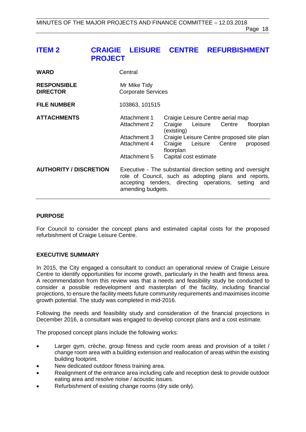# <span id="page-17-0"></span>**ITEM 2 CRAIGIE LEISURE CENTRE REFURBISHMENT PROJECT**

| <b>WARD</b>                           | Central                                                                      |                                                                                                                                                                                           |                       |
|---------------------------------------|------------------------------------------------------------------------------|-------------------------------------------------------------------------------------------------------------------------------------------------------------------------------------------|-----------------------|
| <b>RESPONSIBLE</b><br><b>DIRECTOR</b> | Mr Mike Tidy<br><b>Corporate Services</b>                                    |                                                                                                                                                                                           |                       |
| <b>FILE NUMBER</b>                    | 103863, 101515                                                               |                                                                                                                                                                                           |                       |
| <b>ATTACHMENTS</b>                    | Attachment 1<br>Attachment 2<br>Attachment 3<br>Attachment 4<br>Attachment 5 | Craigie Leisure Centre aerial map<br>Craigie<br>Leisure Centre<br>(existing)<br>Craigie Leisure Centre proposed site plan<br>Craigie Leisure Centre<br>floorplan<br>Capital cost estimate | floorplan<br>proposed |
| <b>AUTHORITY / DISCRETION</b>         | amending budgets.                                                            | Executive - The substantial direction setting and oversight<br>role of Council, such as adopting plans and reports,<br>accepting tenders, directing operations, setting and               |                       |

#### **PURPOSE**

For Council to consider the concept plans and estimated capital costs for the proposed refurbishment of Craigie Leisure Centre.

#### **EXECUTIVE SUMMARY**

In 2015, the City engaged a consultant to conduct an operational review of Craigie Leisure Centre to identify opportunities for income growth, particularly in the health and fitness area. A recommendation from this review was that a needs and feasibility study be conducted to consider a possible redevelopment and masterplan of the facility, including financial projections, to ensure the facility meets future community requirements and maximises income growth potential. The study was completed in mid-2016.

Following the needs and feasibility study and consideration of the financial projections in December 2016, a consultant was engaged to develop concept plans and a cost estimate.

The proposed concept plans include the following works:

- Larger gym, crèche, group fitness and cycle room areas and provision of a toilet / change room area with a building extension and reallocation of areas within the existing building footprint.
- New dedicated outdoor fitness training area.
- Realignment of the entrance area including cafe and reception desk to provide outdoor eating area and resolve noise / acoustic issues.
- Refurbishment of existing change rooms (dry side only).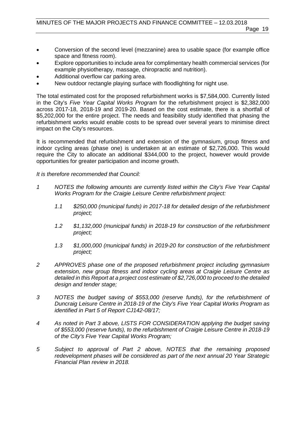- Conversion of the second level (mezzanine) area to usable space (for example office space and fitness room).
- Explore opportunities to include area for complimentary health commercial services (for example physiotherapy, massage, chiropractic and nutrition).
- Additional overflow car parking area.
- New outdoor rectangle playing surface with floodlighting for night use.

The total estimated cost for the proposed refurbishment works is \$7,584,000. Currently listed in the City's *Five Year Capital Works Program* for the refurbishment project is \$2,382,000 across 2017-18, 2018-19 and 2019-20. Based on the cost estimate, there is a shortfall of \$5,202,000 for the entire project. The needs and feasibility study identified that phasing the refurbishment works would enable costs to be spread over several years to minimise direct impact on the City's resources.

It is recommended that refurbishment and extension of the gymnasium, group fitness and indoor cycling areas (phase one) is undertaken at an estimate of \$2,726,000. This would require the City to allocate an additional \$344,000 to the project, however would provide opportunities for greater participation and income growth.

*It is therefore recommended that Council:*

- *1 NOTES the following amounts are currently listed within the City's Five Year Capital Works Program for the Craigie Leisure Centre refurbishment project:*
	- *1.1 \$250,000 (municipal funds) in 2017-18 for detailed design of the refurbishment project;*
	- *1.2 \$1,132,000 (municipal funds) in 2018-19 for construction of the refurbishment project;*
	- *1.3 \$1,000,000 (municipal funds) in 2019-20 for construction of the refurbishment project;*
- *2 APPROVES phase one of the proposed refurbishment project including gymnasium extension, new group fitness and indoor cycling areas at Craigie Leisure Centre as detailed in this Report at a project cost estimate of \$2,726,000 to proceed to the detailed design and tender stage;*
- *3 NOTES the budget saving of \$553,000 (reserve funds), for the refurbishment of Duncraig Leisure Centre in 2018-19 of the City's Five Year Capital Works Program as identified in Part 5 of Report CJ142-08/17;*
- *4 As noted in Part 3 above, LISTS FOR CONSIDERATION applying the budget saving of \$553,000 (reserve funds), to the refurbishment of Craigie Leisure Centre in 2018-19 of the City's Five Year Capital Works Program;*
- *5 Subject to approval of Part 2 above, NOTES that the remaining proposed redevelopment phases will be considered as part of the next annual 20 Year Strategic Financial Plan review in 2018.*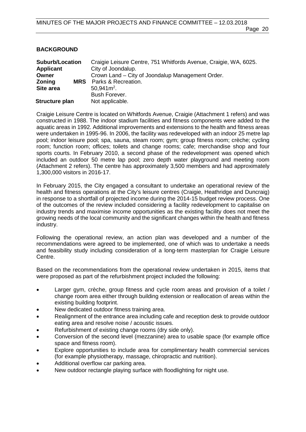# **BACKGROUND**

| <b>Suburb/Location</b>      | Craigie Leisure Centre, 751 Whitfords Avenue, Craigie, WA, 6025. |
|-----------------------------|------------------------------------------------------------------|
| <b>Applicant</b>            | City of Joondalup.                                               |
| Owner                       | Crown Land – City of Joondalup Management Order.                 |
| <b>Zoning</b><br><b>MRS</b> | Parks & Recreation.                                              |
| Site area                   | $50,941m^2$ .                                                    |
|                             | Bush Forever.                                                    |
| Structure plan              | Not applicable.                                                  |

Craigie Leisure Centre is located on Whitfords Avenue, Craigie (Attachment 1 refers) and was constructed in 1988. The indoor stadium facilities and fitness components were added to the aquatic areas in 1992. Additional improvements and extensions to the health and fitness areas were undertaken in 1995-96. In 2006, the facility was redeveloped with an indoor 25 metre lap pool; indoor leisure pool; spa, sauna, steam room; gym; group fitness room; crèche; cycling room; function room; offices; toilets and change rooms; cafe; merchandise shop and four sports courts. In February 2010, a second phase of the redevelopment was opened which included an outdoor 50 metre lap pool; zero depth water playground and meeting room (Attachment 2 refers). The centre has approximately 3,500 members and had approximately 1,300,000 visitors in 2016-17.

In February 2015, the City engaged a consultant to undertake an operational review of the health and fitness operations at the City's leisure centres (Craigie, Heathridge and Duncraig) in response to a shortfall of projected income during the 2014-15 budget review process. One of the outcomes of the review included considering a facility redevelopment to capitalise on industry trends and maximise income opportunities as the existing facility does not meet the growing needs of the local community and the significant changes within the health and fitness industry.

Following the operational review, an action plan was developed and a number of the recommendations were agreed to be implemented, one of which was to undertake a needs and feasibility study including consideration of a long-term masterplan for Craigie Leisure Centre.

Based on the recommendations from the operational review undertaken in 2015, items that were proposed as part of the refurbishment project included the following:

- Larger gym, crèche, group fitness and cycle room areas and provision of a toilet / change room area either through building extension or reallocation of areas within the existing building footprint.
- New dedicated outdoor fitness training area.
- Realignment of the entrance area including cafe and reception desk to provide outdoor eating area and resolve noise / acoustic issues.
- Refurbishment of existing change rooms (dry side only).
- Conversion of the second level (mezzanine) area to usable space (for example office space and fitness room).
- Explore opportunities to include area for complimentary health commercial services (for example physiotherapy, massage, chiropractic and nutrition).
- Additional overflow car parking area.
- New outdoor rectangle playing surface with floodlighting for night use.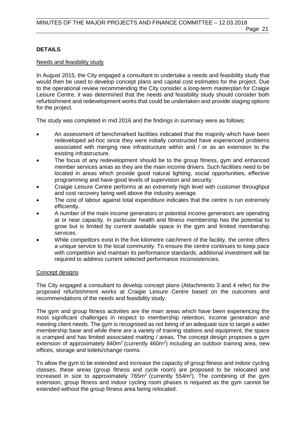## **DETAILS**

#### Needs and feasibility study

In August 2015, the City engaged a consultant to undertake a needs and feasibility study that would then be used to develop concept plans and capital cost estimates for the project. Due to the operational review recommending the City consider a long-term masterplan for Craigie Leisure Centre, it was determined that the needs and feasibility study should consider both refurbishment and redevelopment works that could be undertaken and provide staging options for the project.

The study was completed in mid 2016 and the findings in summary were as follows:

- An assessment of benchmarked facilities indicated that the majority which have been redeveloped ad-hoc since they were initially constructed have experienced problems associated with merging new infrastructure within and / or as an extension to the existing infrastructure.
- The focus of any redevelopment should be to the group fitness, gym and enhanced member services areas as they are the main income drivers. Such facilities need to be located in areas which provide good natural lighting, social opportunities, effective programming and have good levels of supervision and security.
- Craigie Leisure Centre performs at an extremely high level with customer throughput and cost recovery being well above the industry average.
- The cost of labour against total expenditure indicates that the centre is run extremely efficiently.
- A number of the main income generators or potential income generators are operating at or near capacity. In particular health and fitness membership has the potential to grow but is limited by current available space in the gym and limited membership services.
- While competitors exist in the five kilometre catchment of the facility, the centre offers a unique service to the local community. To ensure the centre continues to keep pace with competition and maintain its performance standards, additional investment will be required to address current selected performance inconsistencies.

#### Concept designs

The City engaged a consultant to develop concept plans (Attachments 3 and 4 refer) for the proposed refurbishment works at Craigie Leisure Centre based on the outcomes and recommendations of the needs and feasibility study.

The gym and group fitness activities are the main areas which have been experiencing the most significant challenges in respect to membership retention, income generation and meeting client needs. The gym is recognised as not being of an adequate size to target a wider membership base and while there are a variety of training stations and equipment, the space is cramped and has limited associated matting / areas. The concept design proposes a gym extension of approximately  $840m^2$  (currently  $460m^2$ ) including an outdoor training area, new offices, storage and toilets/change rooms.

To allow the gym to be extended and increase the capacity of group fitness and indoor cycling classes, these areas (group fitness and cycle room) are proposed to be relocated and increased in size to approximately  $765m^2$  (currently  $554m^2$ ). The combining of the gym extension, group fitness and indoor cycling room phases is required as the gym cannot be extended without the group fitness area being relocated.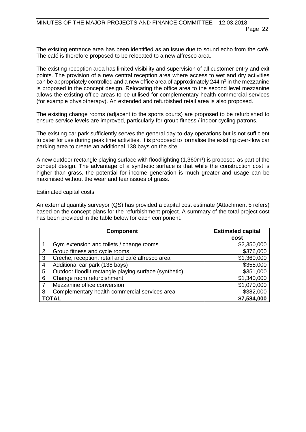The existing entrance area has been identified as an issue due to sound echo from the café. The café is therefore proposed to be relocated to a new alfresco area.

The existing reception area has limited visibility and supervision of all customer entry and exit points. The provision of a new central reception area where access to wet and dry activities can be appropriately controlled and a new office area of approximately  $244m<sup>2</sup>$  in the mezzanine is proposed in the concept design. Relocating the office area to the second level mezzanine allows the existing office areas to be utilised for complementary health commercial services (for example physiotherapy). An extended and refurbished retail area is also proposed.

The existing change rooms (adjacent to the sports courts) are proposed to be refurbished to ensure service levels are improved, particularly for group fitness / indoor cycling patrons.

The existing car park sufficiently serves the general day-to-day operations but is not sufficient to cater for use during peak time activities. It is proposed to formalise the existing over-flow car parking area to create an additional 138 bays on the site.

A new outdoor rectangle playing surface with floodlighting (1,360m2 ) is proposed as part of the concept design. The advantage of a synthetic surface is that while the construction cost is higher than grass, the potential for income generation is much greater and usage can be maximised without the wear and tear issues of grass.

#### Estimated capital costs

An external quantity surveyor (QS) has provided a capital cost estimate (Attachment 5 refers) based on the concept plans for the refurbishment project. A summary of the total project cost has been provided in the table below for each component.

|   | <b>Component</b>                                       | <b>Estimated capital</b> |  |
|---|--------------------------------------------------------|--------------------------|--|
|   |                                                        | cost                     |  |
|   | Gym extension and toilets / change rooms               | \$2,350,000              |  |
| 2 | Group fitness and cycle rooms                          | \$376,000                |  |
| 3 | Crèche, reception, retail and café alfresco area       | \$1,360,000              |  |
| 4 | Additional car park (138 bays)                         | \$355,000                |  |
| 5 | Outdoor floodlit rectangle playing surface (synthetic) | \$351,000                |  |
| 6 | Change room refurbishment                              | \$1,340,000              |  |
| 7 | Mezzanine office conversion                            | \$1,070,000              |  |
| 8 | Complementary health commercial services area          | \$382,000                |  |
|   | TOTAL                                                  | \$7,584,000              |  |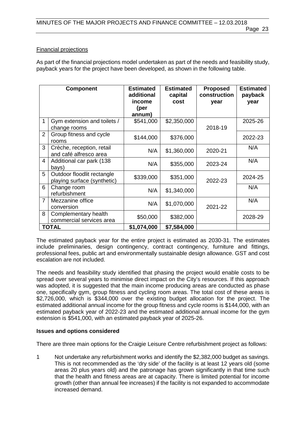#### Financial projections

As part of the financial projections model undertaken as part of the needs and feasibility study, payback years for the project have been developed, as shown in the following table.

|                         | <b>Component</b>                                          | <b>Estimated</b><br>additional<br>income<br>(per<br>annum) | <b>Estimated</b><br>capital<br>cost | <b>Proposed</b><br>construction<br>year | <b>Estimated</b><br>payback<br>year |
|-------------------------|-----------------------------------------------------------|------------------------------------------------------------|-------------------------------------|-----------------------------------------|-------------------------------------|
| 1                       | Gym extension and toilets /<br>change rooms               | \$541,000                                                  | \$2,350,000                         | 2018-19                                 | 2025-26                             |
| $\overline{2}$          | Group fitness and cycle<br>rooms                          | \$144,000                                                  | \$376,000                           |                                         | 2022-23                             |
| 3                       | Crèche, reception, retail<br>and café alfresco area       | N/A                                                        | \$1,360,000                         | 2020-21                                 | N/A                                 |
| $\overline{\mathbf{4}}$ | Additional car park (138<br>bays)                         | N/A                                                        | \$355,000                           | 2023-24                                 | N/A                                 |
| 5                       | Outdoor floodlit rectangle<br>playing surface (synthetic) | \$339,000                                                  | \$351,000                           | 2022-23                                 | 2024-25                             |
| 6                       | Change room<br>refurbishment                              | N/A                                                        | \$1,340,000                         |                                         | N/A                                 |
| $\overline{7}$          | Mezzanine office<br>conversion                            | N/A                                                        | \$1,070,000                         | 2021-22                                 | N/A                                 |
| 8                       | Complementary health<br>commercial services area          | \$50,000                                                   | \$382,000                           |                                         | 2028-29                             |
|                         | <b>TOTAL</b>                                              | \$1,074,000                                                | \$7,584,000                         |                                         |                                     |

The estimated payback year for the entire project is estimated as 2030-31. The estimates include preliminaries, design contingency, contract contingency, furniture and fittings, professional fees, public art and environmentally sustainable design allowance. GST and cost escalation are not included.

The needs and feasibility study identified that phasing the project would enable costs to be spread over several years to minimise direct impact on the City's resources. If this approach was adopted, it is suggested that the main income producing areas are conducted as phase one, specifically gym, group fitness and cycling room areas. The total cost of these areas is \$2,726,000, which is \$344,000 over the existing budget allocation for the project. The estimated additional annual income for the group fitness and cycle rooms is \$144,000, with an estimated payback year of 2022-23 and the estimated additional annual income for the gym extension is \$541,000, with an estimated payback year of 2025-26.

#### **Issues and options considered**

There are three main options for the Craigie Leisure Centre refurbishment project as follows:

1 Not undertake any refurbishment works and identify the \$2,382,000 budget as savings. This is not recommended as the 'dry side' of the facility is at least 12 years old (some areas 20 plus years old) and the patronage has grown significantly in that time such that the health and fitness areas are at capacity. There is limited potential for income growth (other than annual fee increases) if the facility is not expanded to accommodate increased demand.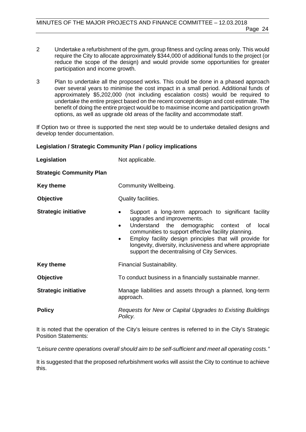- 2 Undertake a refurbishment of the gym, group fitness and cycling areas only. This would require the City to allocate approximately \$344,000 of additional funds to the project (or reduce the scope of the design) and would provide some opportunities for greater participation and income growth.
- 3 Plan to undertake all the proposed works. This could be done in a phased approach over several years to minimise the cost impact in a small period. Additional funds of approximately \$5,202,000 (not including escalation costs) would be required to undertake the entire project based on the recent concept design and cost estimate. The benefit of doing the entire project would be to maximise income and participation growth options, as well as upgrade old areas of the facility and accommodate staff.

If Option two or three is supported the next step would be to undertake detailed designs and develop tender documentation.

#### **Legislation / Strategic Community Plan / policy implications**

| Legislation                     | Not applicable.                                                                                                                                                                                                                                                                                                                                                                                            |  |  |
|---------------------------------|------------------------------------------------------------------------------------------------------------------------------------------------------------------------------------------------------------------------------------------------------------------------------------------------------------------------------------------------------------------------------------------------------------|--|--|
| <b>Strategic Community Plan</b> |                                                                                                                                                                                                                                                                                                                                                                                                            |  |  |
| Key theme                       | Community Wellbeing.                                                                                                                                                                                                                                                                                                                                                                                       |  |  |
| <b>Objective</b>                | Quality facilities.                                                                                                                                                                                                                                                                                                                                                                                        |  |  |
| <b>Strategic initiative</b>     | Support a long-term approach to significant facility<br>$\bullet$<br>upgrades and improvements.<br>Understand the demographic context of<br>local<br>$\bullet$<br>communities to support effective facility planning.<br>Employ facility design principles that will provide for<br>$\bullet$<br>longevity, diversity, inclusiveness and where appropriate<br>support the decentralising of City Services. |  |  |
| Key theme                       | Financial Sustainability.                                                                                                                                                                                                                                                                                                                                                                                  |  |  |
| <b>Objective</b>                | To conduct business in a financially sustainable manner.                                                                                                                                                                                                                                                                                                                                                   |  |  |
| <b>Strategic initiative</b>     | Manage liabilities and assets through a planned, long-term<br>approach.                                                                                                                                                                                                                                                                                                                                    |  |  |
| <b>Policy</b>                   | Requests for New or Capital Upgrades to Existing Buildings<br>Policy.                                                                                                                                                                                                                                                                                                                                      |  |  |

It is noted that the operation of the City's leisure centres is referred to in the City's Strategic Position Statements:

*"Leisure centre operations overall should aim to be self-sufficient and meet all operating costs."*

It is suggested that the proposed refurbishment works will assist the City to continue to achieve this.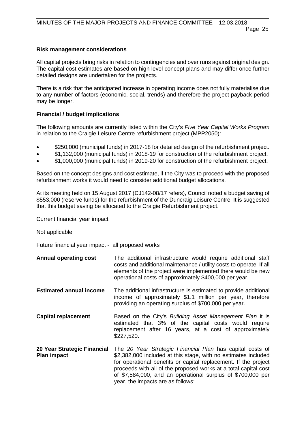#### **Risk management considerations**

All capital projects bring risks in relation to contingencies and over runs against original design. The capital cost estimates are based on high level concept plans and may differ once further detailed designs are undertaken for the projects.

There is a risk that the anticipated increase in operating income does not fully materialise due to any number of factors (economic, social, trends) and therefore the project payback period may be longer.

#### **Financial / budget implications**

The following amounts are currently listed within the City's *Five Year Capital Works Program* in relation to the Craigie Leisure Centre refurbishment project (MPP2050):

- \$250,000 (municipal funds) in 2017-18 for detailed design of the refurbishment project.
- \$1,132,000 (municipal funds) in 2018-19 for construction of the refurbishment project.
- \$1,000,000 (municipal funds) in 2019-20 for construction of the refurbishment project.

Based on the concept designs and cost estimate, if the City was to proceed with the proposed refurbishment works it would need to consider additional budget allocations.

At its meeting held on 15 August 2017 (CJ142-08/17 refers), Council noted a budget saving of \$553,000 (reserve funds) for the refurbishment of the Duncraig Leisure Centre. It is suggested that this budget saving be allocated to the Craigie Refurbishment project.

Current financial year impact

Not applicable.

#### Future financial year impact - all proposed works

**Annual operating cost** The additional infrastructure would require additional staff costs and additional maintenance / utility costs to operate. If all elements of the project were implemented there would be new operational costs of approximately \$400,000 per year. **Estimated annual income** The additional infrastructure is estimated to provide additional income of approximately \$1.1 million per year, therefore providing an operating surplus of \$700,000 per year. **Capital replacement** Based on the City's *Building Asset Management Plan* it is estimated that 3% of the capital costs would require replacement after 16 years, at a cost of approximately \$227,520. **20 Year Strategic Financial Plan impact** The *20 Year Strategic Financial Plan* has capital costs of \$2,382,000 included at this stage, with no estimates included for operational benefits or capital replacement. If the project proceeds with all of the proposed works at a total capital cost of \$7,584,000, and an operational surplus of \$700,000 per year, the impacts are as follows: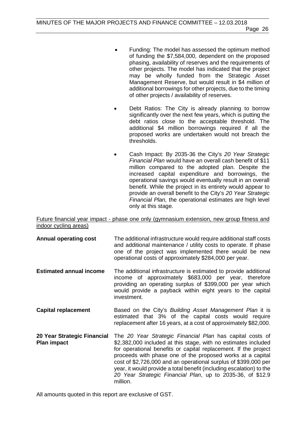- Funding: The model has assessed the optimum method of funding the \$7,584,000, dependent on the proposed phasing, availability of reserves and the requirements of other projects. The model has indicated that the project may be wholly funded from the Strategic Asset Management Reserve, but would result in \$4 million of additional borrowings for other projects, due to the timing of other projects / availability of reserves.
- Debt Ratios: The City is already planning to borrow significantly over the next few years, which is putting the debt ratios close to the acceptable threshold. The additional \$4 million borrowings required if all the proposed works are undertaken would not breach the thresholds.
- Cash Impact: By 2035-36 the City's *20 Year Strategic Financial Plan* would have an overall cash benefit of \$11 million compared to the adopted plan. Despite the increased capital expenditure and borrowings, the operational savings would eventually result in an overall benefit. While the project in its entirety would appear to provide an overall benefit to the City's *20 Year Strategic Financial Plan,* the operational estimates are high level only at this stage.

Future financial year impact - phase one only (gymnasium extension, new group fitness and indoor cycling areas)

- **Annual operating cost** The additional infrastructure would require additional staff costs and additional maintenance / utility costs to operate. If phase one of the project was implemented there would be new operational costs of approximately \$284,000 per year. **Estimated annual income** The additional infrastructure is estimated to provide additional income of approximately \$683,000 per year, therefore providing an operating surplus of \$399,000 per year which would provide a payback within eight years to the capital investment. **Capital replacement** Based on the City's *Building Asset Management Plan* it is estimated that 3% of the capital costs would require replacement after 16 years, at a cost of approximately \$82,000. **20 Year Strategic Financial Plan impact** The *20 Year Strategic Financial Plan* has capital costs of \$2,382,000 included at this stage, with no estimates included
- for operational benefits or capital replacement. If the project proceeds with phase one of the proposed works at a capital cost of \$2,726,000 and an operational surplus of \$399,000 per year, it would provide a total benefit (including escalation) to the *20 Year Strategic Financial Plan*, up to 2035-36, of \$12.9 million.

All amounts quoted in this report are exclusive of GST.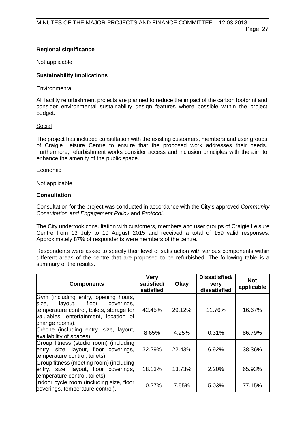### **Regional significance**

Not applicable.

#### **Sustainability implications**

#### **Environmental**

All facility refurbishment projects are planned to reduce the impact of the carbon footprint and consider environmental sustainability design features where possible within the project budget.

#### Social

The project has included consultation with the existing customers, members and user groups of Craigie Leisure Centre to ensure that the proposed work addresses their needs. Furthermore, refurbishment works consider access and inclusion principles with the aim to enhance the amenity of the public space.

#### **Economic**

Not applicable.

#### **Consultation**

Consultation for the project was conducted in accordance with the City's approved *Community Consultation and Engagement Policy* and *Protocol.*

The City undertook consultation with customers, members and user groups of Craigie Leisure Centre from 13 July to 10 August 2015 and received a total of 159 valid responses. Approximately 87% of respondents were members of the centre.

Respondents were asked to specify their level of satisfaction with various components within different areas of the centre that are proposed to be refurbished. The following table is a summary of the results.

| <b>Components</b>                                                                                                                                                                 | <b>Very</b><br>satisfied/<br>satisfied | Okay   | Dissatisfied/<br>very<br>dissatisfied | <b>Not</b><br>applicable |
|-----------------------------------------------------------------------------------------------------------------------------------------------------------------------------------|----------------------------------------|--------|---------------------------------------|--------------------------|
| Gym (including entry, opening hours,<br>size,<br>layout, floor coverings,<br>temperature control, toilets, storage for<br>valuables, entertainment, location of<br>change rooms). | 42.45%                                 | 29.12% | 11.76%                                | 16.67%                   |
| Crèche (including entry, size, layout,<br>availability of spaces).                                                                                                                | 8.65%                                  | 4.25%  | 0.31%                                 | 86.79%                   |
| Group fitness (studio room) (including<br>entry, size, layout, floor coverings,<br>temperature control, toilets).                                                                 | 32.29%                                 | 22.43% | 6.92%                                 | 38.36%                   |
| Group fitness (meeting room) (including<br>entry, size, layout, floor coverings,<br>temperature control, toilets).                                                                | 18.13%                                 | 13.73% | 2.20%                                 | 65.93%                   |
| Indoor cycle room (including size, floor<br>coverings, temperature control).                                                                                                      | 10.27%                                 | 7.55%  | 5.03%                                 | 77.15%                   |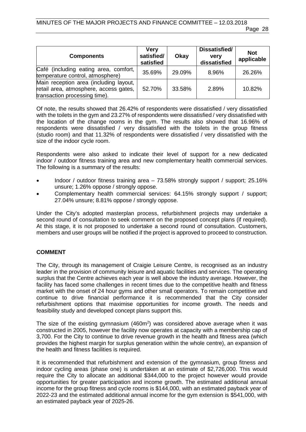| <b>Components</b>                                                                                                 | <b>Very</b><br>satisfied/<br>satisfied | Okay   | Dissatisfied/<br><b>very</b><br>dissatisfied | <b>Not</b><br>applicable |
|-------------------------------------------------------------------------------------------------------------------|----------------------------------------|--------|----------------------------------------------|--------------------------|
| Café (including eating area, comfort, I<br>temperature control, atmosphere)                                       | 35.69%                                 | 29.09% | 8.96%                                        | 26.26%                   |
| Main reception area (including layout,<br>retail area, atmosphere, access gates,<br>transaction processing time). | 52.70%                                 | 33.58% | 2.89%                                        | 10.82%                   |

Of note, the results showed that 26.42% of respondents were dissatisfied / very dissatisfied with the toilets in the gym and 23.27% of respondents were dissatisfied / very dissatisfied with the location of the change rooms in the gym. The results also showed that 16.96% of respondents were dissatisfied / very dissatisfied with the toilets in the group fitness (studio room) and that 11.32% of respondents were dissatisfied / very dissatisfied with the size of the indoor cycle room.

Respondents were also asked to indicate their level of support for a new dedicated indoor / outdoor fitness training area and new complementary health commercial services. The following is a summary of the results:

- Indoor / outdoor fitness training area 73.58% strongly support / support; 25.16% unsure; 1.26% oppose / strongly oppose.
- Complementary health commercial services: 64.15% strongly support / support; 27.04% unsure; 8.81% oppose / strongly oppose.

Under the City's adopted masterplan process, refurbishment projects may undertake a second round of consultation to seek comment on the proposed concept plans (if required). At this stage, it is not proposed to undertake a second round of consultation. Customers, members and user groups will be notified if the project is approved to proceed to construction.

#### **COMMENT**

The City, through its management of Craigie Leisure Centre, is recognised as an industry leader in the provision of community leisure and aquatic facilities and services. The operating surplus that the Centre achieves each year is well above the industry average. However, the facility has faced some challenges in recent times due to the competitive health and fitness market with the onset of 24 hour gyms and other small operators. To remain competitive and continue to drive financial performance it is recommended that the City consider refurbishment options that maximise opportunities for income growth. The needs and feasibility study and developed concept plans support this.

The size of the existing gymnasium (460m<sup>2</sup>) was considered above average when it was constructed in 2005, however the facility now operates at capacity with a membership cap of 3,700. For the City to continue to drive revenue growth in the health and fitness area (which provides the highest margin for surplus generation within the whole centre), an expansion of the health and fitness facilities is required.

It is recommended that refurbishment and extension of the gymnasium, group fitness and indoor cycling areas (phase one) is undertaken at an estimate of \$2,726,000. This would require the City to allocate an additional \$344,000 to the project however would provide opportunities for greater participation and income growth. The estimated additional annual income for the group fitness and cycle rooms is \$144,000, with an estimated payback year of 2022-23 and the estimated additional annual income for the gym extension is \$541,000, with an estimated payback year of 2025-26.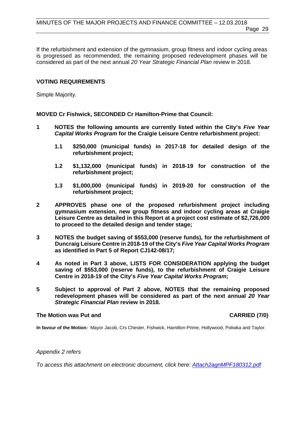If the refurbishment and extension of the gymnasium, group fitness and indoor cycling areas is progressed as recommended, the remaining proposed redevelopment phases will be considered as part of the next annual *20 Year Strategic Financial Plan* review in 2018.

#### **VOTING REQUIREMENTS**

Simple Majority.

**MOVED Cr Fishwick, SECONDED Cr Hamilton-Prime that Council:** 

- **1 NOTES the following amounts are currently listed within the City's** *Five Year Capital Works Program* **for the Craigie Leisure Centre refurbishment project:**
	- **1.1 \$250,000 (municipal funds) in 2017-18 for detailed design of the refurbishment project;**
	- **1.2 \$1,132,000 (municipal funds) in 2018-19 for construction of the refurbishment project;**
	- **1.3 \$1,000,000 (municipal funds) in 2019-20 for construction of the refurbishment project;**
- **2 APPROVES phase one of the proposed refurbishment project including gymnasium extension, new group fitness and indoor cycling areas at Craigie Leisure Centre as detailed in this Report at a project cost estimate of \$2,726,000 to proceed to the detailed design and tender stage;**
- **3 NOTES the budget saving of \$553,000 (reserve funds), for the refurbishment of Duncraig Leisure Centre in 2018-19 of the City's** *Five Year Capital Works Program* **as identified in Part 5 of Report CJ142-08/17;**
- **4 As noted in Part 3 above, LISTS FOR CONSIDERATION applying the budget saving of \$553,000 (reserve funds), to the refurbishment of Craigie Leisure Centre in 2018-19 of the City's** *Five Year Capital Works Program***;**
- **5 Subject to approval of Part 2 above, NOTES that the remaining proposed redevelopment phases will be considered as part of the next annual** *20 Year Strategic Financial Plan* **review in 2018.**

#### **The Motion was Put and CARRIED (7/0)**

**In favour of the Motion:** Mayor Jacob, Crs Chester, Fishwick, Hamilton-Prime, Hollywood, Poliwka and Taylor.

#### *Appendix 2 refers*

*To access this attachment on electronic document, click here[: Attach2agnMPF180312.pdf](http://www.joondalup.wa.gov.au/files/committees/MPFI/2018/Attach2agnMPF180312.pdf)*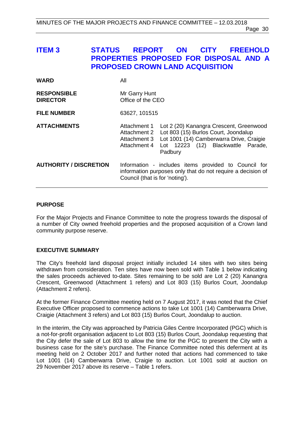# <span id="page-29-0"></span>**ITEM 3 STATUS REPORT ON CITY FREEHOLD PROPERTIES PROPOSED FOR DISPOSAL AND A PROPOSED CROWN LAND ACQUISITION**

| <b>WARD</b>                           | All                                                          |                                                                                                                                                                              |  |
|---------------------------------------|--------------------------------------------------------------|------------------------------------------------------------------------------------------------------------------------------------------------------------------------------|--|
| <b>RESPONSIBLE</b><br><b>DIRECTOR</b> | Mr Garry Hunt<br>Office of the CEO                           |                                                                                                                                                                              |  |
| <b>FILE NUMBER</b>                    | 63627, 101515                                                |                                                                                                                                                                              |  |
| <b>ATTACHMENTS</b>                    | Attachment 1<br>Attachment 2<br>Attachment 3<br>Attachment 4 | Lot 2 (20) Kanangra Crescent, Greenwood<br>Lot 803 (15) Burlos Court, Joondalup<br>Lot 1001 (14) Camberwarra Drive, Craigie<br>Lot 12223 (12) Blackwattle Parade,<br>Padbury |  |
| <b>AUTHORITY / DISCRETION</b>         | Council (that is for 'noting').                              | Information - includes items provided to Council for<br>information purposes only that do not require a decision of                                                          |  |

#### **PURPOSE**

For the Major Projects and Finance Committee to note the progress towards the disposal of a number of City owned freehold properties and the proposed acquisition of a Crown land community purpose reserve.

#### **EXECUTIVE SUMMARY**

The City's freehold land disposal project initially included 14 sites with two sites being withdrawn from consideration. Ten sites have now been sold with Table 1 below indicating the sales proceeds achieved to-date. Sites remaining to be sold are Lot 2 (20) Kanangra Crescent, Greenwood (Attachment 1 refers) and Lot 803 (15) Burlos Court, Joondalup (Attachment 2 refers).

At the former Finance Committee meeting held on 7 August 2017, it was noted that the Chief Executive Officer proposed to commence actions to take Lot 1001 (14) Camberwarra Drive, Craigie (Attachment 3 refers) and Lot 803 (15) Burlos Court, Joondalup to auction.

In the interim, the City was approached by Patricia Giles Centre Incorporated (PGC) which is a not-for-profit organisation adjacent to Lot 803 (15) Burlos Court, Joondalup requesting that the City defer the sale of Lot 803 to allow the time for the PGC to present the City with a business case for the site's purchase. The Finance Committee noted this deferment at its meeting held on 2 October 2017 and further noted that actions had commenced to take Lot 1001 (14) Camberwarra Drive, Craigie to auction. Lot 1001 sold at auction on 29 November 2017 above its reserve – Table 1 refers.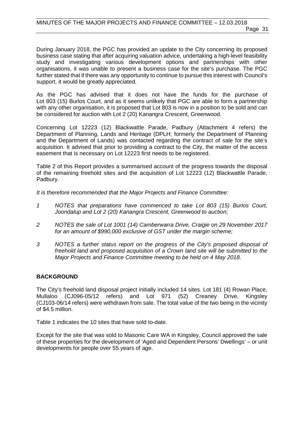During January 2018, the PGC has provided an update to the City concerning its proposed business case stating that after acquiring valuation advice, undertaking a high-level feasibility study and investigating various development options and partnerships with other organisations, it was unable to present a business case for the site's purchase. The PGC further stated that if there was any opportunity to continue to pursue this interest with Council's support, it would be greatly appreciated.

As the PGC has advised that it does not have the funds for the purchase of Lot 803 (15) Burlos Court, and as it seems unlikely that PGC are able to form a partnership with any other organisation, it is proposed that Lot 803 is now in a position to be sold and can be considered for auction with Lot 2 (20) Kanangra Crescent, Greenwood.

Concerning Lot 12223 (12) Blackwattle Parade, Padbury (Attachment 4 refers) the Department of Planning, Lands and Heritage (DPLH; formerly the Department of Planning and the Department of Lands) was contacted regarding the contract of sale for the site's acquisition. It advised that prior to providing a contract to the City, the matter of the access easement that is necessary on Lot 12223 first needs to be registered.

Table 2 of this Report provides a summarised account of the progress towards the disposal of the remaining freehold sites and the acquisition of Lot 12223 (12) Blackwattle Parade, Padbury.

*It is therefore recommended that the Major Projects and Finance Committee:*

- *1 NOTES that preparations have commenced to take Lot 803 (15) Burlos Court, Joondalup and Lot 2 (20) Kanangra Crescent, Greenwood to auction;*
- *2 NOTES the sale of Lot 1001 (14) Camberwarra Drive, Craigie on 29 November 2017 for an amount of \$990,000 exclusive of GST under the margin scheme;*
- *3 NOTES a further status report on the progress of the City's proposed disposal of freehold land and proposed acquisition of a Crown land site will be submitted to the Major Projects and Finance Committee meeting to be held on 4 May 2018.*

#### **BACKGROUND**

The City's freehold land disposal project initially included 14 sites. Lot 181 (4) Rowan Place, Mullaloo (CJ096-05/12 refers) and Lot 971 (52) Creaney Drive, Kingsley (CJ103-06/14 refers) were withdrawn from sale. The total value of the two being in the vicinity of \$4.5 million.

Table 1 indicates the 10 sites that have sold to-date.

Except for the site that was sold to Masonic Care WA in Kingsley, Council approved the sale of these properties for the development of 'Aged and Dependent Persons' Dwellings' – or unit developments for people over 55 years of age.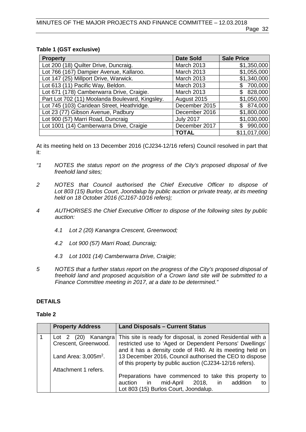#### **Table 1 (GST exclusive)**

| <b>Property</b>                                 | <b>Date Sold</b>  | <b>Sale Price</b> |
|-------------------------------------------------|-------------------|-------------------|
| Lot 200 (18) Quilter Drive, Duncraig.           | March 2013        | \$1,350,000       |
| Lot 766 (167) Dampier Avenue, Kallaroo.         | March 2013        | \$1,055,000       |
| Lot 147 (25) Millport Drive, Warwick.           | March 2013        | \$1,340,000       |
| Lot 613 (11) Pacific Way, Beldon.               | <b>March 2013</b> | 700,000<br>S      |
| Lot 671 (178) Camberwarra Drive, Craigie.       | <b>March 2013</b> | 828,000<br>\$.    |
| Part Lot 702 (11) Moolanda Boulevard, Kingsley. | August 2015       | \$1,050,000       |
| Lot 745 (103) Caridean Street, Heathridge.      | December 2015     | \$874,000         |
| Lot 23 (77) Gibson Avenue, Padbury              | December 2016     | \$1,800,000       |
| Lot 900 (57) Marri Road, Duncraig               | <b>July 2017</b>  | \$1,030,000       |
| Lot 1001 (14) Camberwarra Drive, Craigie        | December 2017     | 990,000           |
|                                                 | <b>TOTAL</b>      | \$11,017,000      |

At its meeting held on 13 December 2016 (CJ234-12/16 refers) Council resolved in part that it:

- *"1 NOTES the status report on the progress of the City's proposed disposal of five freehold land sites;*
- *2 NOTES that Council authorised the Chief Executive Officer to dispose of Lot 803 (15) Burlos Court, Joondalup by public auction or private treaty, at its meeting held on 18 October 2016 (CJ167-10/16 refers);*
- *4 AUTHORISES the Chief Executive Officer to dispose of the following sites by public auction:* 
	- *4.1 Lot 2 (20) Kanangra Crescent, Greenwood;*
	- *4.2 Lot 900 (57) Marri Road, Duncraig;*
	- *4.3 Lot 1001 (14) Camberwarra Drive, Craigie;*
- *5 NOTES that a further status report on the progress of the City's proposed disposal of freehold land and proposed acquisition of a Crown land site will be submitted to a Finance Committee meeting in 2017, at a date to be determined."*

#### **DETAILS**

#### **Table 2**

| <b>Property Address</b>                                                | <b>Land Disposals - Current Status</b>                                                                                                                                                                                                                                                                      |
|------------------------------------------------------------------------|-------------------------------------------------------------------------------------------------------------------------------------------------------------------------------------------------------------------------------------------------------------------------------------------------------------|
| Lot 2 (20) Kanangra<br>Crescent, Greenwood.<br>Land Area: $3,005m^2$ . | This site is ready for disposal, is zoned Residential with a<br>restricted use to 'Aged or Dependent Persons' Dwellings'<br>and it has a density code of R40. At its meeting held on<br>13 December 2016, Council authorised the CEO to dispose<br>of this property by public auction (CJ234-12/16 refers). |
| Attachment 1 refers.                                                   |                                                                                                                                                                                                                                                                                                             |
|                                                                        | Preparations have commenced to take this property to                                                                                                                                                                                                                                                        |
|                                                                        | auction in mid-April 2018, in addition<br>tο                                                                                                                                                                                                                                                                |
|                                                                        | Lot 803 (15) Burlos Court, Joondalup.                                                                                                                                                                                                                                                                       |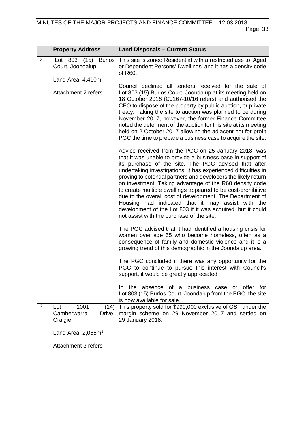|                | <b>Property Address</b>                                  | <b>Land Disposals - Current Status</b>                                                                                                                                                                                                                                                                                                                                                                                                                                                                                                                                                                                                                                   |
|----------------|----------------------------------------------------------|--------------------------------------------------------------------------------------------------------------------------------------------------------------------------------------------------------------------------------------------------------------------------------------------------------------------------------------------------------------------------------------------------------------------------------------------------------------------------------------------------------------------------------------------------------------------------------------------------------------------------------------------------------------------------|
| $\overline{2}$ | <b>Burlos</b><br>Lot 803 (15)<br>Court, Joondalup.       | This site is zoned Residential with a restricted use to 'Aged<br>or Dependent Persons' Dwellings' and it has a density code<br>of R60.                                                                                                                                                                                                                                                                                                                                                                                                                                                                                                                                   |
|                | Land Area: $4,410m^2$ .                                  |                                                                                                                                                                                                                                                                                                                                                                                                                                                                                                                                                                                                                                                                          |
|                | Attachment 2 refers.                                     | Council declined all tenders received for the sale of<br>Lot 803 (15) Burlos Court, Joondalup at its meeting held on<br>18 October 2016 (CJ167-10/16 refers) and authorised the<br>CEO to dispose of the property by public auction, or private<br>treaty. Taking the site to auction was planned to be during<br>November 2017, however, the former Finance Committee<br>noted the deferment of the auction for this site at its meeting<br>held on 2 October 2017 allowing the adjacent not-for-profit<br>PGC the time to prepare a business case to acquire the site.                                                                                                 |
|                |                                                          | Advice received from the PGC on 25 January 2018, was<br>that it was unable to provide a business base in support of<br>its purchase of the site. The PGC advised that after<br>undertaking investigations, it has experienced difficulties in<br>proving to potential partners and developers the likely return<br>on investment. Taking advantage of the R60 density code<br>to create multiple dwellings appeared to be cost-prohibitive<br>due to the overall cost of development. The Department of<br>Housing had indicated that it may assist with the<br>development of the Lot 803 if it was acquired, but it could<br>not assist with the purchase of the site. |
|                |                                                          | The PGC advised that it had identified a housing crisis for<br>women over age 55 who become homeless, often as a<br>consequence of family and domestic violence and it is a<br>growing trend of this demographic in the Joondalup area.                                                                                                                                                                                                                                                                                                                                                                                                                                  |
|                |                                                          | The PGC concluded if there was any opportunity for the<br>PGC to continue to pursue this interest with Council's<br>support, it would be greatly appreciated                                                                                                                                                                                                                                                                                                                                                                                                                                                                                                             |
|                |                                                          | absence of a business<br>or offer for<br>the<br>case<br>In.<br>Lot 803 (15) Burlos Court, Joondalup from the PGC, the site<br>is now available for sale.                                                                                                                                                                                                                                                                                                                                                                                                                                                                                                                 |
| 3              | 1001<br>Lot<br>(14)<br>Camberwarra<br>Drive,<br>Craigie. | This property sold for \$990,000 exclusive of GST under the<br>margin scheme on 29 November 2017 and settled on<br>29 January 2018.                                                                                                                                                                                                                                                                                                                                                                                                                                                                                                                                      |
|                | Land Area: $2,055m^2$                                    |                                                                                                                                                                                                                                                                                                                                                                                                                                                                                                                                                                                                                                                                          |
|                | Attachment 3 refers                                      |                                                                                                                                                                                                                                                                                                                                                                                                                                                                                                                                                                                                                                                                          |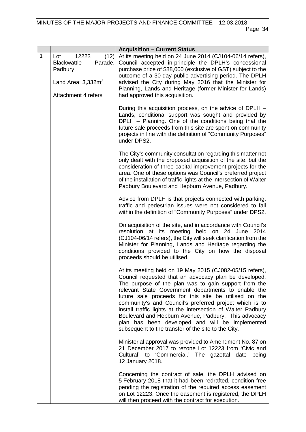|              |                                                                                           | <b>Acquisition - Current Status</b>                                                                                                                                                                                                                                                                                                                                                                                                                                                                                                                                                    |
|--------------|-------------------------------------------------------------------------------------------|----------------------------------------------------------------------------------------------------------------------------------------------------------------------------------------------------------------------------------------------------------------------------------------------------------------------------------------------------------------------------------------------------------------------------------------------------------------------------------------------------------------------------------------------------------------------------------------|
| $\mathbf{1}$ | (12)<br>12223<br>Lot<br><b>Blackwattle</b><br>Parade,<br>Padbury<br>Land Area: $3,332m^2$ | At its meeting held on 24 June 2014 (CJ104-06/14 refers),<br>Council accepted in-principle the DPLH's concessional<br>purchase price of \$88,000 (exclusive of GST) subject to the<br>outcome of a 30-day public advertising period. The DPLH<br>advised the City during May 2016 that the Minister for                                                                                                                                                                                                                                                                                |
|              | Attachment 4 refers                                                                       | Planning, Lands and Heritage (former Minister for Lands)<br>had approved this acquisition.                                                                                                                                                                                                                                                                                                                                                                                                                                                                                             |
|              |                                                                                           | During this acquisition process, on the advice of DPLH -<br>Lands, conditional support was sought and provided by<br>DPLH - Planning. One of the conditions being that the<br>future sale proceeds from this site are spent on community<br>projects in line with the definition of "Community Purposes"<br>under DPS2.                                                                                                                                                                                                                                                                |
|              |                                                                                           | The City's community consultation regarding this matter not<br>only dealt with the proposed acquisition of the site, but the<br>consideration of three capital improvement projects for the<br>area. One of these options was Council's preferred project<br>of the installation of traffic lights at the intersection of Walter<br>Padbury Boulevard and Hepburn Avenue, Padbury.                                                                                                                                                                                                     |
|              |                                                                                           | Advice from DPLH is that projects connected with parking,<br>traffic and pedestrian issues were not considered to fall<br>within the definition of "Community Purposes" under DPS2.                                                                                                                                                                                                                                                                                                                                                                                                    |
|              |                                                                                           | On acquisition of the site, and in accordance with Council's<br>resolution at its meeting held on 24 June<br>2014<br>(CJ104-06/14 refers), the City will seek clarification from the<br>Minister for Planning, Lands and Heritage regarding the<br>conditions provided to the City on how the disposal<br>proceeds should be utilised.                                                                                                                                                                                                                                                 |
|              |                                                                                           | At its meeting held on 19 May 2015 (CJ082-05/15 refers),<br>Council requested that an advocacy plan be developed.<br>The purpose of the plan was to gain support from the<br>relevant State Government departments to enable the<br>future sale proceeds for this site be utilised on the<br>community's and Council's preferred project which is to<br>install traffic lights at the intersection of Walter Padbury<br>Boulevard and Hepburn Avenue, Padbury. This advocacy<br>plan has been developed and will be implemented<br>subsequent to the transfer of the site to the City. |
|              |                                                                                           | Ministerial approval was provided to Amendment No. 87 on<br>21 December 2017 to rezone Lot 12223 from 'Civic and<br>Cultural' to 'Commercial.' The gazettal date being<br>12 January 2018.                                                                                                                                                                                                                                                                                                                                                                                             |
|              |                                                                                           | Concerning the contract of sale, the DPLH advised on<br>5 February 2018 that it had been redrafted, condition free<br>pending the registration of the required access easement<br>on Lot 12223. Once the easement is registered, the DPLH<br>will then proceed with the contract for execution.                                                                                                                                                                                                                                                                                        |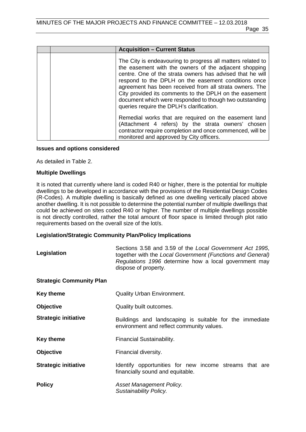| <b>Acquisition - Current Status</b>                                                                                                                                                                                                                                                                                                                                                                                                                                   |
|-----------------------------------------------------------------------------------------------------------------------------------------------------------------------------------------------------------------------------------------------------------------------------------------------------------------------------------------------------------------------------------------------------------------------------------------------------------------------|
| The City is endeavouring to progress all matters related to<br>the easement with the owners of the adjacent shopping<br>centre. One of the strata owners has advised that he will<br>respond to the DPLH on the easement conditions once<br>agreement has been received from all strata owners. The<br>City provided its comments to the DPLH on the easement<br>document which were responded to though two outstanding<br>queries require the DPLH's clarification. |
| Remedial works that are required on the easement land<br>(Attachment 4 refers) by the strata owners' chosen<br>contractor require completion and once commenced, will be<br>monitored and approved by City officers.                                                                                                                                                                                                                                                  |

#### **Issues and options considered**

As detailed in Table 2.

#### **Multiple Dwellings**

It is noted that currently where land is coded R40 or higher, there is the potential for multiple dwellings to be developed in accordance with the provisions of the Residential Design Codes (R-Codes). A multiple dwelling is basically defined as one dwelling vertically placed above another dwelling. It is not possible to determine the potential number of multiple dwellings that could be achieved on sites coded R40 or higher. The number of multiple dwellings possible is not directly controlled, rather the total amount of floor space is limited through plot ratio requirements based on the overall size of the lot/s.

### **Legislation/Strategic Community Plan/Policy Implications**

| Legislation                     | Sections 3.58 and 3.59 of the Local Government Act 1995,<br>together with the Local Government (Functions and General)<br>Regulations 1996 determine how a local government may<br>dispose of property. |
|---------------------------------|---------------------------------------------------------------------------------------------------------------------------------------------------------------------------------------------------------|
| <b>Strategic Community Plan</b> |                                                                                                                                                                                                         |
| <b>Key theme</b>                | <b>Quality Urban Environment.</b>                                                                                                                                                                       |
| <b>Objective</b>                | Quality built outcomes.                                                                                                                                                                                 |
| <b>Strategic initiative</b>     | Buildings and landscaping is suitable for the immediate<br>environment and reflect community values.                                                                                                    |
| <b>Key theme</b>                | Financial Sustainability.                                                                                                                                                                               |
| <b>Objective</b>                | Financial diversity.                                                                                                                                                                                    |
| <b>Strategic initiative</b>     | Identify opportunities for new income streams that are<br>financially sound and equitable.                                                                                                              |
| <b>Policy</b>                   | Asset Management Policy.<br>Sustainability Policy.                                                                                                                                                      |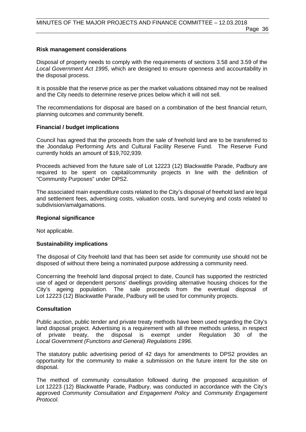# **Risk management considerations**

Disposal of property needs to comply with the requirements of sections 3.58 and 3.59 of the *Local Government Act 1995*, which are designed to ensure openness and accountability in the disposal process.

It is possible that the reserve price as per the market valuations obtained may not be realised and the City needs to determine reserve prices below which it will not sell.

The recommendations for disposal are based on a combination of the best financial return, planning outcomes and community benefit.

# **Financial / budget implications**

Council has agreed that the proceeds from the sale of freehold land are to be transferred to the Joondalup Performing Arts and Cultural Facility Reserve Fund. The Reserve Fund currently holds an amount of \$19,702,939.

Proceeds achieved from the future sale of Lot 12223 (12) Blackwattle Parade, Padbury are required to be spent on capital/community projects in line with the definition of "Community Purposes" under DPS2.

The associated main expenditure costs related to the City's disposal of freehold land are legal and settlement fees, advertising costs, valuation costs, land surveying and costs related to subdivision/amalgamations.

## **Regional significance**

Not applicable.

# **Sustainability implications**

The disposal of City freehold land that has been set aside for community use should not be disposed of without there being a nominated purpose addressing a community need.

Concerning the freehold land disposal project to date, Council has supported the restricted use of aged or dependent persons' dwellings providing alternative housing choices for the City's ageing population. The sale proceeds from the eventual disposal of Lot 12223 (12) Blackwattle Parade, Padbury will be used for community projects.

## **Consultation**

Public auction, public tender and private treaty methods have been used regarding the City's land disposal project. Advertising is a requirement with all three methods unless, in respect of private treaty, the disposal is exempt under Requlation 30 of the of private treaty, the disposal is exempt under Regulation 30 of the *Local Government (Functions and General) Regulations 1996.*

The statutory public advertising period of 42 days for amendments to DPS2 provides an opportunity for the community to make a submission on the future intent for the site on disposal.

The method of community consultation followed during the proposed acquisition of Lot 12223 (12) Blackwattle Parade, Padbury, was conducted in accordance with the City's approved *Community Consultation and Engagement Policy* and *Community Engagement Protocol*.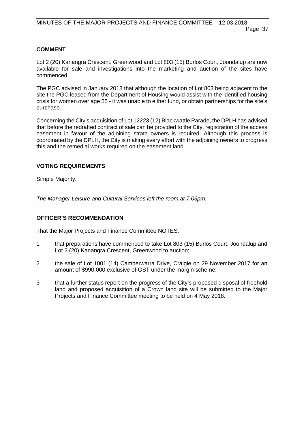# **COMMENT**

Lot 2 (20) Kanangra Crescent, Greenwood and Lot 803 (15) Burlos Court, Joondalup are now available for sale and investigations into the marketing and auction of the sites have commenced.

The PGC advised in January 2018 that although the location of Lot 803 being adjacent to the site the PGC leased from the Department of Housing would assist with the identified housing crisis for women over age 55 - it was unable to either fund, or obtain partnerships for the site's purchase.

Concerning the City's acquisition of Lot 12223 (12) Blackwattle Parade, the DPLH has advised that before the redrafted contract of sale can be provided to the City, registration of the access easement in favour of the adjoining strata owners is required. Although this process is coordinated by the DPLH, the City is making every effort with the adjoining owners to progress this and the remedial works required on the easement land.

# **VOTING REQUIREMENTS**

Simple Majority.

*The Manager Leisure and Cultural Services left the room at 7.03pm.*

#### **OFFICER'S RECOMMENDATION**

That the Major Projects and Finance Committee NOTES:

- 1 that preparations have commenced to take Lot 803 (15) Burlos Court, Joondalup and Lot 2 (20) Kanangra Crescent, Greenwood to auction;
- 2 the sale of Lot 1001 (14) Camberwarra Drive, Craigie on 29 November 2017 for an amount of \$990,000 exclusive of GST under the margin scheme;
- 3 that a further status report on the progress of the City's proposed disposal of freehold land and proposed acquisition of a Crown land site will be submitted to the Major Projects and Finance Committee meeting to be held on 4 May 2018.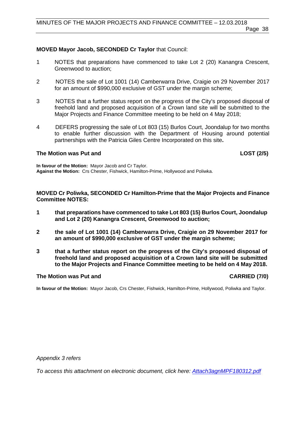### **MOVED Mayor Jacob, SECONDED Cr Taylor** that Council:

- 1 NOTES that preparations have commenced to take Lot 2 (20) Kanangra Crescent, Greenwood to auction;
- 2 NOTES the sale of Lot 1001 (14) Camberwarra Drive, Craigie on 29 November 2017 for an amount of \$990,000 exclusive of GST under the margin scheme;
- 3 NOTES that a further status report on the progress of the City's proposed disposal of freehold land and proposed acquisition of a Crown land site will be submitted to the Major Projects and Finance Committee meeting to be held on 4 May 2018;
- 4 DEFERS progressing the sale of Lot 803 (15) Burlos Court, Joondalup for two months to enable further discussion with the Department of Housing around potential partnerships with the Patricia Giles Centre Incorporated on this site**.**

#### **The Motion was Put and LOST (2/5)**

**In favour of the Motion:** Mayor Jacob and Cr Taylor. **Against the Motion:** Crs Chester, Fishwick, Hamilton-Prime, Hollywood and Poliwka.

**MOVED Cr Poliwka, SECONDED Cr Hamilton-Prime that the Major Projects and Finance Committee NOTES:** 

- **1 that preparations have commenced to take Lot 803 (15) Burlos Court, Joondalup and Lot 2 (20) Kanangra Crescent, Greenwood to auction;**
- **2 the sale of Lot 1001 (14) Camberwarra Drive, Craigie on 29 November 2017 for an amount of \$990,000 exclusive of GST under the margin scheme;**
- **3 that a further status report on the progress of the City's proposed disposal of freehold land and proposed acquisition of a Crown land site will be submitted to the Major Projects and Finance Committee meeting to be held on 4 May 2018.**

#### **The Motion was Put and CARRIED (7/0)**

**In favour of the Motion:** Mayor Jacob, Crs Chester, Fishwick, Hamilton-Prime, Hollywood, Poliwka and Taylor.

*Appendix 3 refers*

*To access this attachment on electronic document, click he[re: Attach3agnMPF180312.pdf](http://www.joondalup.wa.gov.au/files/committees/MPFI/2018/Attach3agnMPF180312.pdf)*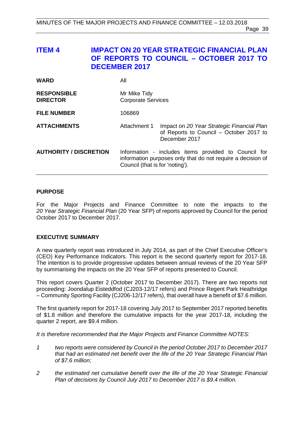# **ITEM 4 IMPACT ON 20 YEAR STRATEGIC FINANCIAL PLAN OF REPORTS TO COUNCIL – OCTOBER 2017 TO DECEMBER 2017**

| <b>WARD</b>                           | All                                       |                                                                                                                     |
|---------------------------------------|-------------------------------------------|---------------------------------------------------------------------------------------------------------------------|
| <b>RESPONSIBLE</b><br><b>DIRECTOR</b> | Mr Mike Tidy<br><b>Corporate Services</b> |                                                                                                                     |
| <b>FILE NUMBER</b>                    | 106869                                    |                                                                                                                     |
| <b>ATTACHMENTS</b>                    | Attachment 1                              | Impact on 20 Year Strategic Financial Plan<br>of Reports to Council - October 2017 to<br>December 2017              |
| <b>AUTHORITY / DISCRETION</b>         | Council (that is for 'noting').           | Information - includes items provided to Council for<br>information purposes only that do not require a decision of |

#### **PURPOSE**

For the Major Projects and Finance Committee to note the impacts to the *20 Year Strategic Financial Plan* (20 Year SFP) of reports approved by Council for the period October 2017 to December 2017.

# **EXECUTIVE SUMMARY**

A new quarterly report was introduced in July 2014, as part of the Chief Executive Officer's (CEO) Key Performance Indicators. This report is the second quarterly report for 2017-18. The intention is to provide progressive updates between annual reviews of the 20 Year SFP by summarising the impacts on the 20 Year SFP of reports presented to Council.

This report covers Quarter 2 (October 2017 to December 2017). There are two reports not proceeding: Joondalup Eisteddfod (CJ203-12/17 refers) and Prince Regent Park Heathridge – Community Sporting Facility (CJ206-12/17 refers), that overall have a benefit of \$7.6 million.

The first quarterly report for 2017-18 covering July 2017 to September 2017 reported benefits of \$1.8 million and therefore the cumulative impacts for the year 2017-18, including the quarter 2 report, are \$9.4 million.

*It is therefore recommended that the Major Projects and Finance Committee NOTES:*

- *1 two reports were considered by Council in the period October 2017 to December 2017 that had an estimated net benefit over the life of the 20 Year Strategic Financial Plan of \$7.6 million;*
- *2 the estimated net cumulative benefit over the life of the 20 Year Strategic Financial Plan of decisions by Council July 2017 to December 2017 is \$9.4 million.*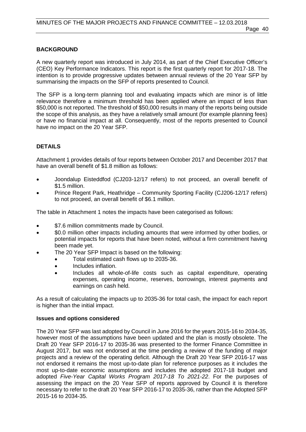# **BACKGROUND**

A new quarterly report was introduced in July 2014, as part of the Chief Executive Officer's (CEO) Key Performance Indicators. This report is the first quarterly report for 2017-18. The intention is to provide progressive updates between annual reviews of the 20 Year SFP by summarising the impacts on the SFP of reports presented to Council.

The SFP is a long-term planning tool and evaluating impacts which are minor is of little relevance therefore a minimum threshold has been applied where an impact of less than \$50,000 is not reported. The threshold of \$50,000 results in many of the reports being outside the scope of this analysis, as they have a relatively small amount (for example planning fees) or have no financial impact at all. Consequently, most of the reports presented to Council have no impact on the 20 Year SFP.

# **DETAILS**

Attachment 1 provides details of four reports between October 2017 and December 2017 that have an overall benefit of \$1.8 million as follows:

- Joondalup Eisteddfod (CJ203-12/17 refers) to not proceed, an overall benefit of \$1.5 million.
- Prince Regent Park, Heathridge Community Sporting Facility (CJ206-12/17 refers) to not proceed, an overall benefit of \$6.1 million.

The table in Attachment 1 notes the impacts have been categorised as follows:

- \$7.6 million commitments made by Council.
- \$0.0 million other impacts including amounts that were informed by other bodies, or potential impacts for reports that have been noted, without a firm commitment having been made yet.
- The 20 Year SFP Impact is based on the following:
	- Total estimated cash flows up to 2035-36.
		- Includes inflation.
		- Includes all whole-of-life costs such as capital expenditure, operating expenses, operating income, reserves, borrowings, interest payments and earnings on cash held.

As a result of calculating the impacts up to 2035-36 for total cash, the impact for each report is higher than the initial impact.

#### **Issues and options considered**

The 20 Year SFP was last adopted by Council in June 2016 for the years 2015-16 to 2034-35, however most of the assumptions have been updated and the plan is mostly obsolete. The Draft 20 Year SFP 2016-17 to 2035-36 was presented to the former Finance Committee in August 2017, but was not endorsed at the time pending a review of the funding of major projects and a review of the operating deficit. Although the Draft 20 Year SFP 2016-17 was not endorsed it remains the most up-to-date plan for reference purposes as it includes the most up-to-date economic assumptions and includes the adopted 2017-18 budget and adopted *Five-Year Capital Works Program 2017-18 To 2021-22*. For the purposes of assessing the impact on the 20 Year SFP of reports approved by Council it is therefore necessary to refer to the draft 20 Year SFP 2016-17 to 2035-36, rather than the Adopted SFP 2015-16 to 2034-35.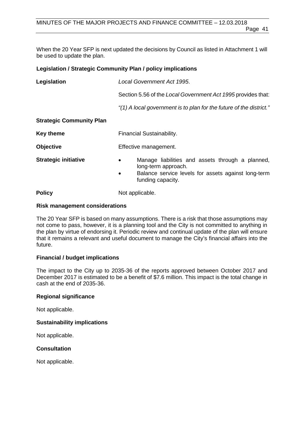When the 20 Year SFP is next updated the decisions by Council as listed in Attachment 1 will be used to update the plan.

# **Legislation / Strategic Community Plan / policy implications**

| Legislation                     | Local Government Act 1995.                                                                                                                                                    |  |
|---------------------------------|-------------------------------------------------------------------------------------------------------------------------------------------------------------------------------|--|
|                                 | Section 5.56 of the Local Government Act 1995 provides that:                                                                                                                  |  |
|                                 | "(1) A local government is to plan for the future of the district."                                                                                                           |  |
| <b>Strategic Community Plan</b> |                                                                                                                                                                               |  |
| <b>Key theme</b>                | Financial Sustainability.                                                                                                                                                     |  |
| <b>Objective</b>                | Effective management.                                                                                                                                                         |  |
| <b>Strategic initiative</b>     | Manage liabilities and assets through a planned,<br>$\bullet$<br>long-term approach.<br>Balance service levels for assets against long-term<br>$\bullet$<br>funding capacity. |  |
| <b>Policy</b>                   | Not applicable.                                                                                                                                                               |  |

#### **Risk management considerations**

The 20 Year SFP is based on many assumptions. There is a risk that those assumptions may not come to pass, however, it is a planning tool and the City is not committed to anything in the plan by virtue of endorsing it. Periodic review and continual update of the plan will ensure that it remains a relevant and useful document to manage the City's financial affairs into the future.

# **Financial / budget implications**

The impact to the City up to 2035-36 of the reports approved between October 2017 and December 2017 is estimated to be a benefit of \$7.6 million. This impact is the total change in cash at the end of 2035-36.

# **Regional significance**

Not applicable.

# **Sustainability implications**

Not applicable.

# **Consultation**

Not applicable.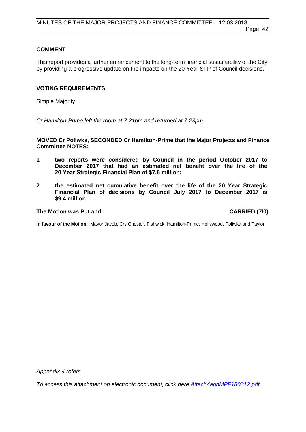# **COMMENT**

This report provides a further enhancement to the long-term financial sustainability of the City by providing a progressive update on the impacts on the 20 Year SFP of Council decisions.

### **VOTING REQUIREMENTS**

Simple Majority.

*Cr Hamilton-Prime left the room at 7.21pm and returned at 7.23pm.*

**MOVED Cr Poliwka, SECONDED Cr Hamilton-Prime that the Major Projects and Finance Committee NOTES:**

- **1 two reports were considered by Council in the period October 2017 to December 2017 that had an estimated net benefit over the life of the 20 Year Strategic Financial Plan of \$7.6 million;**
- **2 the estimated net cumulative benefit over the life of the 20 Year Strategic Financial Plan of decisions by Council July 2017 to December 2017 is \$9.4 million.**

### **The Motion was Put and CARRIED (7/0)**

**In favour of the Motion:** Mayor Jacob, Crs Chester, Fishwick, Hamilton-Prime, Hollywood, Poliwka and Taylor.

*Appendix 4 refers*

*To access this attachment on electronic document, click h[ere:Attach4agnMPF180312.pdf](http://www.joondalup.wa.gov.au/files/committees/MPFI/2018/Attach4agnMPF180312.pdf)*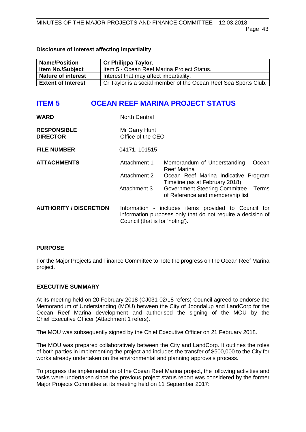### **Disclosure of interest affecting impartiality**

| <b>Name/Position</b>      | Cr Philippa Taylor.                                             |
|---------------------------|-----------------------------------------------------------------|
| <b>Item No./Subject</b>   | Item 5 - Ocean Reef Marina Project Status.                      |
| <b>Nature of interest</b> | Interest that may affect impartiality.                          |
| <b>Extent of Interest</b> | Cr Taylor is a social member of the Ocean Reef Sea Sports Club. |

# **ITEM 5 OCEAN REEF MARINA PROJECT STATUS**

| <b>WARD</b>                           | <b>North Central</b>                         |                                                                                                                                                                                                           |
|---------------------------------------|----------------------------------------------|-----------------------------------------------------------------------------------------------------------------------------------------------------------------------------------------------------------|
| <b>RESPONSIBLE</b><br><b>DIRECTOR</b> | Mr Garry Hunt<br>Office of the CEO           |                                                                                                                                                                                                           |
| <b>FILE NUMBER</b>                    | 04171, 101515                                |                                                                                                                                                                                                           |
| <b>ATTACHMENTS</b>                    | Attachment 1<br>Attachment 2<br>Attachment 3 | Memorandum of Understanding - Ocean<br>Reef Marina<br>Ocean Reef Marina Indicative Program<br>Timeline (as at February 2018)<br>Government Steering Committee - Terms<br>of Reference and membership list |
| <b>AUTHORITY / DISCRETION</b>         | Council (that is for 'noting').              | Information - includes items provided to Council for<br>information purposes only that do not require a decision of                                                                                       |

# **PURPOSE**

For the Major Projects and Finance Committee to note the progress on the Ocean Reef Marina project.

# **EXECUTIVE SUMMARY**

At its meeting held on 20 February 2018 (CJ031-02/18 refers) Council agreed to endorse the Memorandum of Understanding (MOU) between the City of Joondalup and LandCorp for the Ocean Reef Marina development and authorised the signing of the MOU by the Chief Executive Officer (Attachment 1 refers).

The MOU was subsequently signed by the Chief Executive Officer on 21 February 2018.

The MOU was prepared collaboratively between the City and LandCorp. It outlines the roles of both parties in implementing the project and includes the transfer of \$500,000 to the City for works already undertaken on the environmental and planning approvals process.

To progress the implementation of the Ocean Reef Marina project, the following activities and tasks were undertaken since the previous project status report was considered by the former Major Projects Committee at its meeting held on 11 September 2017: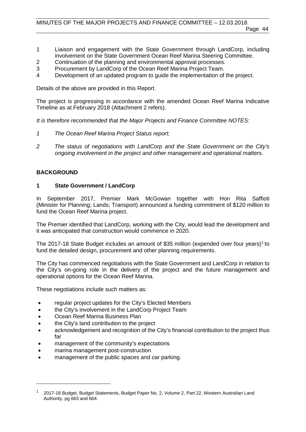- 1 Liaison and engagement with the State Government through LandCorp, including involvement on the State Government Ocean Reef Marina Steering Committee.
- 2 Continuation of the planning and environmental approval processes.<br>3 Procurement by LandCorp of the Ocean Reef Marina Project Team.
- 3 Procurement by LandCorp of the Ocean Reef Marina Project Team.<br>4 Development of an updated program to quide the implementation of
- Development of an updated program to guide the implementation of the project.

Details of the above are provided in this Report.

The project is progressing in accordance with the amended Ocean Reef Marina Indicative Timeline as at February 2018 (Attachment 2 refers).

*It is therefore recommended that the Major Projects and Finance Committee NOTES:*

- *1 The Ocean Reef Marina Project Status report;*
- *2 The status of negotiations with LandCorp and the State Government on the City's ongoing involvement in the project and other management and operational matters.*

# **BACKGROUND**

-

# **1 State Government / LandCorp**

In September 2017, Premier Mark McGowan together with Hon Rita Saffioti (Minister for Planning; Lands; Transport) announced a funding commitment of \$120 million to fund the Ocean Reef Marina project.

The Premier identified that LandCorp, working with the City, would lead the development and it was anticipated that construction would commence in 2020.

The 20[1](#page-43-0)7-18 State Budget includes an amount of \$35 million (expended over four years)<sup>1</sup> to fund the detailed design, procurement and other planning requirements.

The City has commenced negotiations with the State Government and LandCorp in relation to the City's on-going role in the delivery of the project and the future management and operational options for the Ocean Reef Marina.

These negotiations include such matters as:

- regular project updates for the City's Elected Members
- the City's involvement in the LandCorp Project Team
- Ocean Reef Marina Business Plan
- the City's land contribution to the project
- acknowledgement and recognition of the City's financial contribution to the project thus far
- management of the community's expectations
- marina management post-construction
- management of the public spaces and car parking.

<span id="page-43-0"></span><sup>2017-18</sup> Budget, Budget Statements, Budget Paper No. 2, Volume 2, Part 22, Western Australian Land Authority, pg 663 and 664.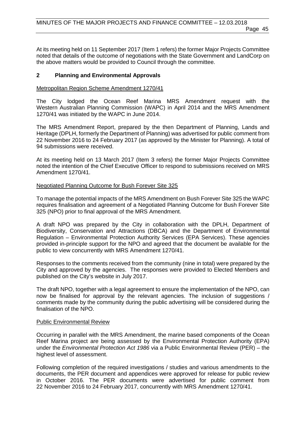Page 45

At its meeting held on 11 September 2017 (Item 1 refers) the former Major Projects Committee noted that details of the outcome of negotiations with the State Government and LandCorp on the above matters would be provided to Council through the committee.

# **2 Planning and Environmental Approvals**

# Metropolitan Region Scheme Amendment 1270/41

The City lodged the Ocean Reef Marina MRS Amendment request with the Western Australian Planning Commission (WAPC) in April 2014 and the MRS Amendment 1270/41 was initiated by the WAPC in June 2014.

The MRS Amendment Report, prepared by the then Department of Planning, Lands and Heritage (DPLH, formerly the Department of Planning) was advertised for public comment from 22 November 2016 to 24 February 2017 (as approved by the Minister for Planning). A total of 94 submissions were received.

At its meeting held on 13 March 2017 (Item 3 refers) the former Major Projects Committee noted the intention of the Chief Executive Officer to respond to submissions received on MRS Amendment 1270/41.

#### Negotiated Planning Outcome for Bush Forever Site 325

To manage the potential impacts of the MRS Amendment on Bush Forever Site 325 the WAPC requires finalisation and agreement of a Negotiated Planning Outcome for Bush Forever Site 325 (NPO) prior to final approval of the MRS Amendment.

A draft NPO was prepared by the City in collaboration with the DPLH, Department of Biodiversity, Conservation and Attractions (DBCA) and the Department of Environmental Regulation – Environmental Protection Authority Services (EPA Services). These agencies provided in-principle support for the NPO and agreed that the document be available for the public to view concurrently with MRS Amendment 1270/41.

Responses to the comments received from the community (nine in total) were prepared by the City and approved by the agencies. The responses were provided to Elected Members and published on the City's website in July 2017.

The draft NPO, together with a legal agreement to ensure the implementation of the NPO, can now be finalised for approval by the relevant agencies. The inclusion of suggestions / comments made by the community during the public advertising will be considered during the finalisation of the NPO.

#### Public Environmental Review

Occurring in parallel with the MRS Amendment, the marine based components of the Ocean Reef Marina project are being assessed by the Environmental Protection Authority (EPA) under the *Environmental Protection Act 1986* via a Public Environmental Review (PER) – the highest level of assessment.

Following completion of the required investigations / studies and various amendments to the documents, the PER document and appendices were approved for release for public review in October 2016. The PER documents were advertised for public comment from 22 November 2016 to 24 February 2017, concurrently with MRS Amendment 1270/41.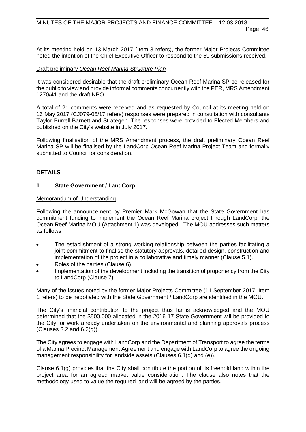At its meeting held on 13 March 2017 (Item 3 refers), the former Major Projects Committee noted the intention of the Chief Executive Officer to respond to the 59 submissions received.

### Draft preliminary *Ocean Reef Marina Structure Plan*

It was considered desirable that the draft preliminary Ocean Reef Marina SP be released for the public to view and provide informal comments concurrently with the PER, MRS Amendment 1270/41 and the draft NPO.

A total of 21 comments were received and as requested by Council at its meeting held on 16 May 2017 (CJ079-05/17 refers) responses were prepared in consultation with consultants Taylor Burrell Barnett and Strategen. The responses were provided to Elected Members and published on the City's website in July 2017.

Following finalisation of the MRS Amendment process, the draft preliminary Ocean Reef Marina SP will be finalised by the LandCorp Ocean Reef Marina Project Team and formally submitted to Council for consideration.

# **DETAILS**

# **1 State Government / LandCorp**

#### Memorandum of Understanding

Following the announcement by Premier Mark McGowan that the State Government has commitment funding to implement the Ocean Reef Marina project through LandCorp, the Ocean Reef Marina MOU (Attachment 1) was developed. The MOU addresses such matters as follows:

- The establishment of a strong working relationship between the parties facilitating a joint commitment to finalise the statutory approvals, detailed design, construction and implementation of the project in a collaborative and timely manner (Clause 5.1).
- Roles of the parties (Clause 6).
- Implementation of the development including the transition of proponency from the City to LandCorp (Clause 7).

Many of the issues noted by the former Major Projects Committee (11 September 2017, Item 1 refers) to be negotiated with the State Government / LandCorp are identified in the MOU.

The City's financial contribution to the project thus far is acknowledged and the MOU determined that the \$500,000 allocated in the 2016-17 State Government will be provided to the City for work already undertaken on the environmental and planning approvals process (Clauses 3.2 and 6.2(g)).

The City agrees to engage with LandCorp and the Department of Transport to agree the terms of a Marina Precinct Management Agreement and engage with LandCorp to agree the ongoing management responsibility for landside assets (Clauses 6.1(d) and (e)).

Clause 6.1(g) provides that the City shall contribute the portion of its freehold land within the project area for an agreed market value consideration. The clause also notes that the methodology used to value the required land will be agreed by the parties.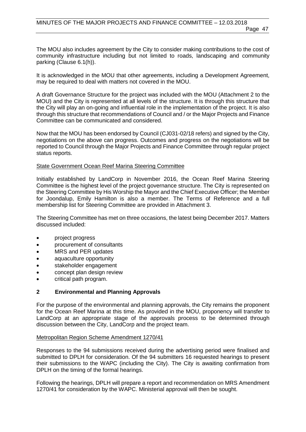The MOU also includes agreement by the City to consider making contributions to the cost of community infrastructure including but not limited to roads, landscaping and community parking (Clause 6.1(h)).

It is acknowledged in the MOU that other agreements, including a Development Agreement, may be required to deal with matters not covered in the MOU.

A draft Governance Structure for the project was included with the MOU (Attachment 2 to the MOU) and the City is represented at all levels of the structure. It is through this structure that the City will play an on-going and influential role in the implementation of the project. It is also through this structure that recommendations of Council and / or the Major Projects and Finance Committee can be communicated and considered.

Now that the MOU has been endorsed by Council (CJ031-02/18 refers) and signed by the City, negotiations on the above can progress. Outcomes and progress on the negotiations will be reported to Council through the Major Projects and Finance Committee through regular project status reports.

#### State Government Ocean Reef Marina Steering Committee

Initially established by LandCorp in November 2016, the Ocean Reef Marina Steering Committee is the highest level of the project governance structure. The City is represented on the Steering Committee by His Worship the Mayor and the Chief Executive Officer; the Member for Joondalup, Emily Hamilton is also a member. The Terms of Reference and a full membership list for Steering Committee are provided in Attachment 3.

The Steering Committee has met on three occasions, the latest being December 2017. Matters discussed included:

- project progress
- procurement of consultants
- MRS and PER updates
- aquaculture opportunity
- stakeholder engagement
- concept plan design review
- critical path program.

# **2 Environmental and Planning Approvals**

For the purpose of the environmental and planning approvals, the City remains the proponent for the Ocean Reef Marina at this time. As provided in the MOU, proponency will transfer to LandCorp at an appropriate stage of the approvals process to be determined through discussion between the City, LandCorp and the project team.

#### Metropolitan Region Scheme Amendment 1270/41

Responses to the 94 submissions received during the advertising period were finalised and submitted to DPLH for consideration. Of the 94 submitters 16 requested hearings to present their submissions to the WAPC (including the City). The City is awaiting confirmation from DPLH on the timing of the formal hearings.

Following the hearings, DPLH will prepare a report and recommendation on MRS Amendment 1270/41 for consideration by the WAPC. Ministerial approval will then be sought.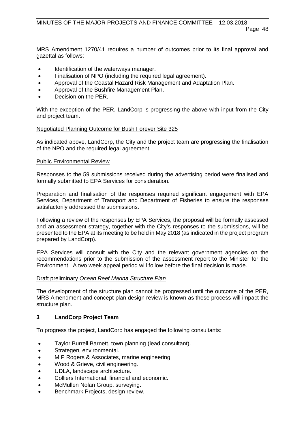MRS Amendment 1270/41 requires a number of outcomes prior to its final approval and gazettal as follows:

- Identification of the waterways manager.
- Finalisation of NPO (including the required legal agreement).
- Approval of the Coastal Hazard Risk Management and Adaptation Plan.
- Approval of the Bushfire Management Plan.
- Decision on the PER.

With the exception of the PER, LandCorp is progressing the above with input from the City and project team.

#### Negotiated Planning Outcome for Bush Forever Site 325

As indicated above, LandCorp, the City and the project team are progressing the finalisation of the NPO and the required legal agreement.

#### Public Environmental Review

Responses to the 59 submissions received during the advertising period were finalised and formally submitted to EPA Services for consideration.

Preparation and finalisation of the responses required significant engagement with EPA Services, Department of Transport and Department of Fisheries to ensure the responses satisfactorily addressed the submissions.

Following a review of the responses by EPA Services, the proposal will be formally assessed and an assessment strategy, together with the City's responses to the submissions, will be presented to the EPA at its meeting to be held in May 2018 (as indicated in the project program prepared by LandCorp).

EPA Services will consult with the City and the relevant government agencies on the recommendations prior to the submission of the assessment report to the Minister for the Environment. A two week appeal period will follow before the final decision is made.

# Draft preliminary *Ocean Reef Marina Structure Plan*

The development of the structure plan cannot be progressed until the outcome of the PER, MRS Amendment and concept plan design review is known as these process will impact the structure plan.

# **3 LandCorp Project Team**

To progress the project, LandCorp has engaged the following consultants:

- Taylor Burrell Barnett, town planning (lead consultant).
- Strategen, environmental.
- M P Rogers & Associates, marine engineering.
- Wood & Grieve, civil engineering.
- UDLA, landscape architecture.
- Colliers International, financial and economic.
- McMullen Nolan Group, surveying.
- Benchmark Projects, design review.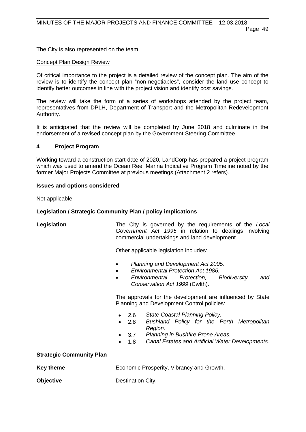The City is also represented on the team.

#### Concept Plan Design Review

Of critical importance to the project is a detailed review of the concept plan. The aim of the review is to identify the concept plan "non-negotiables", consider the land use concept to identify better outcomes in line with the project vision and identify cost savings.

The review will take the form of a series of workshops attended by the project team, representatives from DPLH, Department of Transport and the Metropolitan Redevelopment Authority.

It is anticipated that the review will be completed by June 2018 and culminate in the endorsement of a revised concept plan by the Government Steering Committee.

#### **4 Project Program**

Working toward a construction start date of 2020, LandCorp has prepared a project program which was used to amend the Ocean Reef Marina Indicative Program Timeline noted by the former Major Projects Committee at previous meetings (Attachment 2 refers).

#### **Issues and options considered**

Not applicable.

#### **Legislation / Strategic Community Plan / policy implications**

**Legislation** The City is governed by the requirements of the *Local Government Act 1995* in relation to dealings involving commercial undertakings and land development.

Other applicable legislation includes:

- *Planning and Development Act 2005.*
- *Environmental Protection Act 1986.*
- *Environmental Protection, Biodiversity and Conservation Act 1999* (Cwlth).

The approvals for the development are influenced by State Planning and Development Control policies:

- 2.6 *State Coastal Planning Policy.*
- 2.8 *Bushland Policy for the Perth Metropolitan Region.*
- 3.7 *Planning in Bushfire Prone Areas.*
- 1.8 *Canal Estates and Artificial Water Developments.*

# **Strategic Community Plan**

**Key theme Economic Prosperity, Vibrancy and Growth.** 

**Objective** Destination City.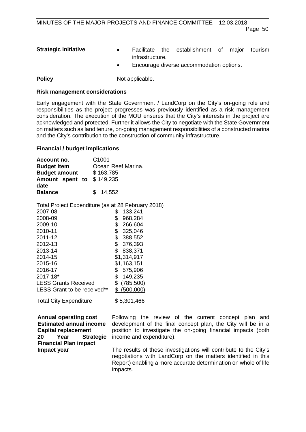- **Strategic initiative Facilitate the establishment of major tourism** infrastructure.
	- Encourage diverse accommodation options.

**Policy** Not applicable.

# **Risk management considerations**

Early engagement with the State Government / LandCorp on the City's on-going role and responsibilities as the project progresses was previously identified as a risk management consideration. The execution of the MOU ensures that the City's interests in the project are acknowledged and protected. Further it allows the City to negotiate with the State Government on matters such as land tenure, on-going management responsibilities of a constructed marina and the City's contribution to the construction of community infrastructure.

# **Financial / budget implications**

| Account no.               | C <sub>1001</sub>  |
|---------------------------|--------------------|
| <b>Budget Item</b>        | Ocean Reef Marina. |
| <b>Budget amount</b>      | \$163,785          |
| Amount spent to \$149,235 |                    |
| date<br><b>Balance</b>    | \$14,552           |

Total Project Expenditure (as at 28 February 2018)

| 2007-08                     | 133,241       |
|-----------------------------|---------------|
| 2008-09                     | 968,284<br>\$ |
| 2009-10                     | \$<br>266,604 |
| 2010-11                     | \$<br>325,046 |
| 2011-12                     | \$<br>388,552 |
| 2012-13                     | \$<br>376,393 |
| 2013-14                     | 838,371<br>S  |
| 2014-15                     | \$1,314,917   |
| 2015-16                     | \$1,163,151   |
| 2016-17                     | S<br>575,906  |
| $2017 - 18*$                | 149,235<br>S  |
| <b>LESS Grants Received</b> | (785, 500)    |
| LESS Grant to be received** | (500,000)     |
|                             |               |

Total City Expenditure \$5,301,466

| Annual operating cost<br><b>Estimated annual income</b><br><b>Capital replacement</b><br>20<br>Year Strategic<br><b>Financial Plan impact</b> | Following the review of the current concept plan and<br>development of the final concept plan, the City will be in a<br>position to investigate the on-going financial impacts (both<br>income and expenditure). |
|-----------------------------------------------------------------------------------------------------------------------------------------------|------------------------------------------------------------------------------------------------------------------------------------------------------------------------------------------------------------------|
| Impact year                                                                                                                                   | The results of these investigations will contribute to the City's<br>negotiations with LandCorp on the matters identified in this<br>Report) enabling a more accurate determination on whole of life             |

impacts.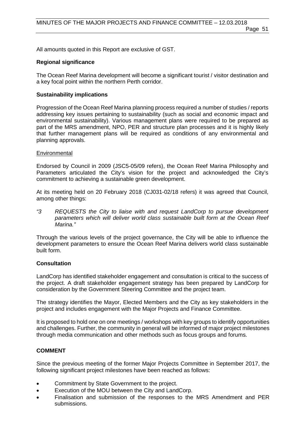Page 51

All amounts quoted in this Report are exclusive of GST.

# **Regional significance**

The Ocean Reef Marina development will become a significant tourist / visitor destination and a key focal point within the northern Perth corridor.

# **Sustainability implications**

Progression of the Ocean Reef Marina planning process required a number of studies / reports addressing key issues pertaining to sustainability (such as social and economic impact and environmental sustainability). Various management plans were required to be prepared as part of the MRS amendment, NPO, PER and structure plan processes and it is highly likely that further management plans will be required as conditions of any environmental and planning approvals.

# **Environmental**

Endorsed by Council in 2009 (JSC5-05/09 refers), the Ocean Reef Marina Philosophy and Parameters articulated the City's vision for the project and acknowledged the City's commitment to achieving a sustainable green development.

At its meeting held on 20 February 2018 (CJ031-02/18 refers) it was agreed that Council, among other things:

*"3 REQUESTS the City to liaise with and request LandCorp to pursue development parameters which will deliver world class sustainable built form at the Ocean Reef Marina."*

Through the various levels of the project governance, the City will be able to influence the development parameters to ensure the Ocean Reef Marina delivers world class sustainable built form.

# **Consultation**

LandCorp has identified stakeholder engagement and consultation is critical to the success of the project. A draft stakeholder engagement strategy has been prepared by LandCorp for consideration by the Government Steering Committee and the project team.

The strategy identifies the Mayor, Elected Members and the City as key stakeholders in the project and includes engagement with the Major Projects and Finance Committee.

It is proposed to hold one on one meetings / workshops with key groups to identify opportunities and challenges. Further, the community in general will be informed of major project milestones through media communication and other methods such as focus groups and forums.

# **COMMENT**

Since the previous meeting of the former Major Projects Committee in September 2017, the following significant project milestones have been reached as follows:

- Commitment by State Government to the project.
- Execution of the MOU between the City and LandCorp.
- Finalisation and submission of the responses to the MRS Amendment and PER submissions.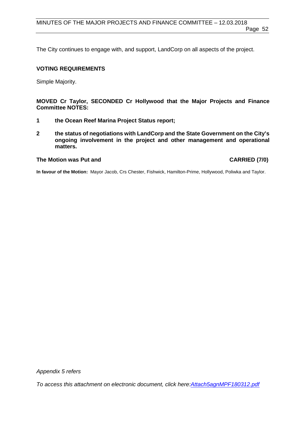The City continues to engage with, and support, LandCorp on all aspects of the project.

#### **VOTING REQUIREMENTS**

Simple Majority.

**MOVED Cr Taylor, SECONDED Cr Hollywood that the Major Projects and Finance Committee NOTES:**

- **1 the Ocean Reef Marina Project Status report;**
- **2 the status of negotiations with LandCorp and the State Government on the City's ongoing involvement in the project and other management and operational matters.**

#### **The Motion was Put and CARRIED (7/0)**

**In favour of the Motion:** Mayor Jacob, Crs Chester, Fishwick, Hamilton-Prime, Hollywood, Poliwka and Taylor.

*Appendix 5 refers*

*To access this attachment on electronic document, click [here:Attach5agnMPF180312.pdf](http://www.joondalup.wa.gov.au/files/committees/MPFI/2018/Attach5agnMPF180312.pdf)*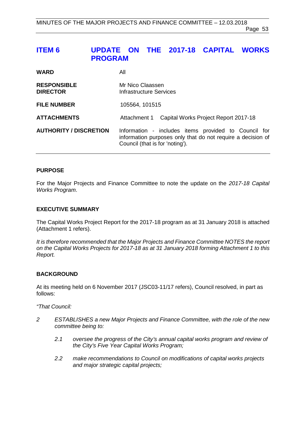# **ITEM 6 UPDATE ON THE 2017-18 CAPITAL WORKS PROGRAM**

| <b>WARD</b>                           | All                                                                                                                                                    |  |
|---------------------------------------|--------------------------------------------------------------------------------------------------------------------------------------------------------|--|
| <b>RESPONSIBLE</b><br><b>DIRECTOR</b> | Mr Nico Claassen<br><b>Infrastructure Services</b>                                                                                                     |  |
| <b>FILE NUMBER</b>                    | 105564, 101515                                                                                                                                         |  |
| <b>ATTACHMENTS</b>                    | Capital Works Project Report 2017-18<br>Attachment 1                                                                                                   |  |
| <b>AUTHORITY / DISCRETION</b>         | Information - includes items provided to Council for<br>information purposes only that do not require a decision of<br>Council (that is for 'noting'). |  |

# **PURPOSE**

For the Major Projects and Finance Committee to note the update on the *2017-18 Capital Works Program*.

#### **EXECUTIVE SUMMARY**

The Capital Works Project Report for the 2017-18 program as at 31 January 2018 is attached (Attachment 1 refers).

*It is therefore recommended that the Major Projects and Finance Committee NOTES the report on the Capital Works Projects for 2017-18 as at 31 January 2018 forming Attachment 1 to this Report.*

#### **BACKGROUND**

At its meeting held on 6 November 2017 (JSC03-11/17 refers), Council resolved, in part as follows:

*"That Council:*

- *2 ESTABLISHES a new Major Projects and Finance Committee, with the role of the new committee being to:*
	- *2.1 oversee the progress of the City's annual capital works program and review of the City's Five Year Capital Works Program;*
	- *2.2 make recommendations to Council on modifications of capital works projects and major strategic capital projects;*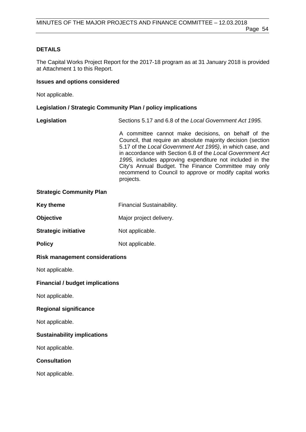# **DETAILS**

The Capital Works Project Report for the 2017-18 program as at 31 January 2018 is provided at Attachment 1 to this Report.

#### **Issues and options considered**

Not applicable.

#### **Legislation / Strategic Community Plan / policy implications**

| Legislation | Sections 5.17 and 6.8 of the Local Government Act 1995.      |
|-------------|--------------------------------------------------------------|
|             | A committee cannot make decisions, on behalf of the          |
|             | Council, that require an absolute majority decision (section |
|             |                                                              |

5.17 of the *Local Government Act 1995)*, in which case, and in accordance with Section 6.8 of the *Local Government Act 1995,* includes approving expenditure not included in the City's Annual Budget. The Finance Committee may only recommend to Council to approve or modify capital works projects.

#### **Strategic Community Plan**

| Key theme | <b>Financial Sustainability.</b> |
|-----------|----------------------------------|
|           |                                  |

**Objective** Major project delivery.

**Strategic initiative** Not applicable.

**Policy** Not applicable.

### **Risk management considerations**

Not applicable.

#### **Financial / budget implications**

Not applicable.

# **Regional significance**

Not applicable.

#### **Sustainability implications**

Not applicable.

# **Consultation**

Not applicable.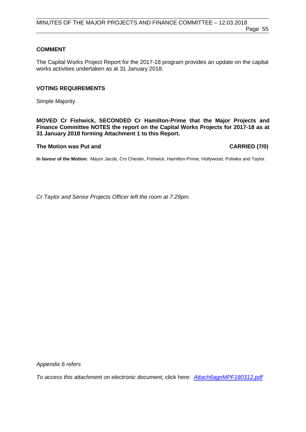# **COMMENT**

The Capital Works Project Report for the 2017-18 program provides an update on the capital works activities undertaken as at 31 January 2018.

#### **VOTING REQUIREMENTS**

Simple Majority.

**MOVED Cr Fishwick, SECONDED Cr Hamilton-Prime that the Major Projects and Finance Committee NOTES the report on the Capital Works Projects for 2017-18 as at 31 January 2018 forming Attachment 1 to this Report.**

# **The Motion was Put and CARRIED (7/0)**

**In favour of the Motion:** Mayor Jacob, Crs Chester, Fishwick, Hamilton-Prime, Hollywood, Poliwka and Taylor.

*Cr Taylor and Senior Projects Officer left the room at 7.29pm.*

*Appendix 6 refers*

*To access this attachment on electronic document,* click here: *[Attach6agnMPF180312.pdf](http://www.joondalup.wa.gov.au/files/committees/MPFI/2018/Attach6agnMPF180312.pdf)*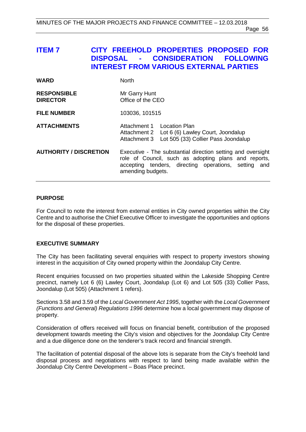# **ITEM 7 CITY FREEHOLD PROPERTIES PROPOSED FOR**   $\overline{CONSIDERATION}$ **INTEREST FROM VARIOUS EXTERNAL PARTIES**

| <b>WARD</b>                           | <b>North</b>                                                                                                                                                                                     |  |
|---------------------------------------|--------------------------------------------------------------------------------------------------------------------------------------------------------------------------------------------------|--|
| <b>RESPONSIBLE</b><br><b>DIRECTOR</b> | Mr Garry Hunt<br>Office of the CEO                                                                                                                                                               |  |
| <b>FILE NUMBER</b>                    | 103036, 101515                                                                                                                                                                                   |  |
| <b>ATTACHMENTS</b>                    | Attachment 1 Location Plan<br>Attachment 2 Lot 6 (6) Lawley Court, Joondalup<br>Attachment 3 Lot 505 (33) Collier Pass Joondalup                                                                 |  |
| <b>AUTHORITY / DISCRETION</b>         | Executive - The substantial direction setting and oversight<br>role of Council, such as adopting plans and reports,<br>accepting tenders, directing operations, setting and<br>amending budgets. |  |

#### **PURPOSE**

For Council to note the interest from external entities in City owned properties within the City Centre and to authorise the Chief Executive Officer to investigate the opportunities and options for the disposal of these properties.

# **EXECUTIVE SUMMARY**

The City has been facilitating several enquiries with respect to property investors showing interest in the acquisition of City owned property within the Joondalup City Centre.

Recent enquiries focussed on two properties situated within the Lakeside Shopping Centre precinct, namely Lot 6 (6) Lawley Court, Joondalup (Lot 6) and Lot 505 (33) Collier Pass, Joondalup (Lot 505) (Attachment 1 refers).

Sections 3.58 and 3.59 of the *Local Government Act 1995*, together with the *Local Government (Functions and General) Regulations 1996* determine how a local government may dispose of property.

Consideration of offers received will focus on financial benefit, contribution of the proposed development towards meeting the City's vision and objectives for the Joondalup City Centre and a due diligence done on the tenderer's track record and financial strength.

The facilitation of potential disposal of the above lots is separate from the City's freehold land disposal process and negotiations with respect to land being made available within the Joondalup City Centre Development – Boas Place precinct.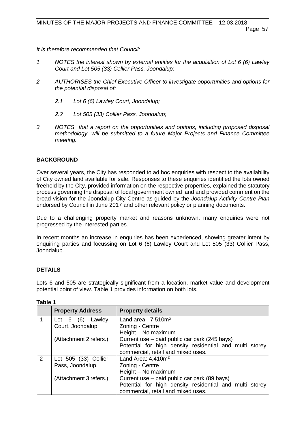Page 57

*It is therefore recommended that Council:* 

- *1 NOTES the interest shown by external entities for the acquisition of Lot 6 (6) Lawley Court and Lot 505 (33) Collier Pass, Joondalup;*
- *2 AUTHORISES the Chief Executive Officer to investigate opportunities and options for the potential disposal of:* 
	- *2.1 Lot 6 (6) Lawley Court, Joondalup;*
	- *2.2 Lot 505 (33) Collier Pass, Joondalup;*
- *3 NOTES that a report on the opportunities and options, including proposed disposal methodology, will be submitted to a future Major Projects and Finance Committee meeting.*

# **BACKGROUND**

Over several years, the City has responded to ad hoc enquiries with respect to the availability of City owned land available for sale. Responses to these enquiries identified the lots owned freehold by the City, provided information on the respective properties, explained the statutory process governing the disposal of local government owned land and provided comment on the broad vision for the Joondalup City Centre as guided by the *Joondalup Activity Centre Plan* endorsed by Council in June 2017 and other relevant policy or planning documents.

Due to a challenging property market and reasons unknown, many enquiries were not progressed by the interested parties.

In recent months an increase in enquiries has been experienced, showing greater intent by enquiring parties and focussing on Lot 6 (6) Lawley Court and Lot 505 (33) Collier Pass, Joondalup.

# **DETAILS**

Lots 6 and 505 are strategically significant from a location, market value and development potential point of view. Table 1 provides information on both lots.

|   | <b>Property Address</b> | <b>Property details</b>                                 |
|---|-------------------------|---------------------------------------------------------|
|   | Lot $6$ $(6)$ Lawley    | Land area - $7,510m^2$                                  |
|   | Court, Joondalup        | Zoning - Centre                                         |
|   |                         | Height - No maximum                                     |
|   | (Attachment 2 refers.)  | Current use – paid public car park (245 bays)           |
|   |                         | Potential for high density residential and multi storey |
|   |                         | commercial, retail and mixed uses.                      |
| 2 | Lot 505 (33) Collier    | Land Area: $4,410m^2$                                   |
|   | Pass, Joondalup.        | Zoning - Centre                                         |
|   |                         | Height - No maximum                                     |
|   | (Attachment 3 refers.)  | Current use – paid public car park (89 bays)            |
|   |                         | Potential for high density residential and multi storey |
|   |                         | commercial, retail and mixed uses.                      |

**Table 1**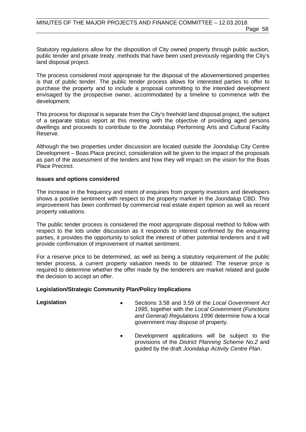Statutory regulations allow for the disposition of City owned property through public auction, public tender and private treaty, methods that have been used previously regarding the City's land disposal project.

The process considered most appropriate for the disposal of the abovementioned properties is that of public tender. The public tender process allows for interested parties to offer to purchase the property and to include a proposal committing to the intended development envisaged by the prospective owner, accommodated by a timeline to commence with the development.

This process for disposal is separate from the City's freehold land disposal project, the subject of a separate status report at this meeting with the objective of providing aged persons dwellings and proceeds to contribute to the Joondalup Performing Arts and Cultural Facility Reserve.

Although the two properties under discussion are located outside the Joondalup City Centre Development – Boas Place precinct, consideration will be given to the impact of the proposals as part of the assessment of the tenders and how they will impact on the vision for the Boas Place Precinct.

#### **Issues and options considered**

The increase in the frequency and intent of enquiries from property investors and developers shows a positive sentiment with respect to the property market in the Joondalup CBD. This improvement has been confirmed by commercial real estate expert opinion as well as recent property valuations.

The public tender process is considered the most appropriate disposal method to follow with respect to the lots under discussion as it responds to interest confirmed by the enquiring parties, it provides the opportunity to solicit the interest of other potential tenderers and it will provide confirmation of improvement of market sentiment.

For a reserve price to be determined, as well as being a statutory requirement of the public tender process, a current property valuation needs to be obtained. The reserve price is required to determine whether the offer made by the tenderers are market related and guide the decision to accept an offer.

# **Legislation/Strategic Community Plan/Policy Implications**

- **Legislation** Sections 3.58 and 3.59 of the *Local Government Act 1995*, together with the *Local Government (Functions and General) Regulations 1996* determine how a local government may dispose of property.
	- Development applications will be subject to the provisions of the *District Planning Scheme No.2* and guided by the draft *Joondalup Activity Centre Plan*.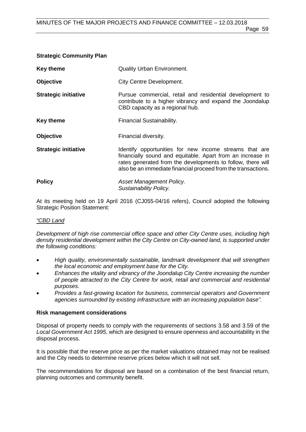| <b>Strategic Community Plan</b> |                                                                                                                                                         |
|---------------------------------|---------------------------------------------------------------------------------------------------------------------------------------------------------|
| Key theme                       | <b>Quality Urban Environment.</b>                                                                                                                       |
| <b>Objective</b>                | <b>City Centre Development.</b>                                                                                                                         |
| <b>Strategic initiative</b>     | Pursue commercial, retail and residential development to<br>contribute to a higher vibrancy and expand the Joondalup<br>CBD capacity as a regional hub. |

- **Key theme** Financial Sustainability.
- **Objective** Financial diversity.
- **Strategic initiative Identify opportunities for new income streams that are** financially sound and equitable. Apart from an increase in rates generated from the developments to follow, there will also be an immediate financial proceed from the transactions.

| <b>Policy</b> | Asset Management Policy.      |
|---------------|-------------------------------|
|               | <b>Sustainability Policy.</b> |

At its meeting held on 19 April 2016 (CJ055-04/16 refers), Council adopted the following Strategic Position Statement:

# *"CBD Land*

*Development of high rise commercial office space and other City Centre uses, including high density residential development within the City Centre on City-owned land, is supported under the following conditions:*

- *High quality, environmentally sustainable, landmark development that will strengthen the local economic and employment base for the City.*
- *Enhances the vitality and vibrancy of the Joondalup City Centre increasing the number of people attracted to the City Centre for work, retail and commercial and residential purposes.*
- *Provides a fast-growing location for business, commercial operators and Government agencies surrounded by existing infrastructure with an increasing population base".*

#### **Risk management considerations**

Disposal of property needs to comply with the requirements of sections 3.58 and 3.59 of the *Local Government Act 1995*, which are designed to ensure openness and accountability in the disposal process.

It is possible that the reserve price as per the market valuations obtained may not be realised and the City needs to determine reserve prices below which it will not sell.

The recommendations for disposal are based on a combination of the best financial return, planning outcomes and community benefit.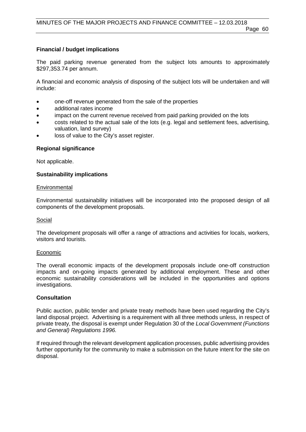# **Financial / budget implications**

The paid parking revenue generated from the subject lots amounts to approximately \$297,353.74 per annum.

A financial and economic analysis of disposing of the subject lots will be undertaken and will include:

- one-off revenue generated from the sale of the properties
- additional rates income
- impact on the current revenue received from paid parking provided on the lots
- costs related to the actual sale of the lots (e.g. legal and settlement fees, advertising, valuation, land survey)
- loss of value to the City's asset register.

# **Regional significance**

Not applicable.

# **Sustainability implications**

# Environmental

Environmental sustainability initiatives will be incorporated into the proposed design of all components of the development proposals.

# Social

The development proposals will offer a range of attractions and activities for locals, workers, visitors and tourists.

# **Economic**

The overall economic impacts of the development proposals include one-off construction impacts and on-going impacts generated by additional employment. These and other economic sustainability considerations will be included in the opportunities and options investigations.

# **Consultation**

Public auction, public tender and private treaty methods have been used regarding the City's land disposal project. Advertising is a requirement with all three methods unless, in respect of private treaty, the disposal is exempt under Regulation 30 of the *Local Government (Functions and General) Regulations 1996.*

If required through the relevant development application processes, public advertising provides further opportunity for the community to make a submission on the future intent for the site on disposal.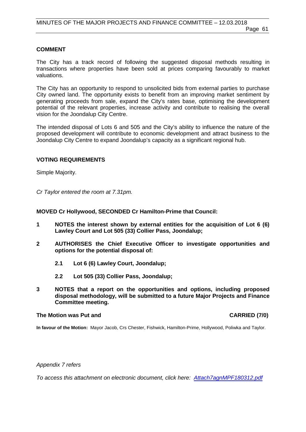### **COMMENT**

The City has a track record of following the suggested disposal methods resulting in transactions where properties have been sold at prices comparing favourably to market valuations.

The City has an opportunity to respond to unsolicited bids from external parties to purchase City owned land. The opportunity exists to benefit from an improving market sentiment by generating proceeds from sale, expand the City's rates base, optimising the development potential of the relevant properties, increase activity and contribute to realising the overall vision for the Joondalup City Centre.

The intended disposal of Lots 6 and 505 and the City's ability to influence the nature of the proposed development will contribute to economic development and attract business to the Joondalup City Centre to expand Joondalup's capacity as a significant regional hub.

#### **VOTING REQUIREMENTS**

Simple Majority.

*Cr Taylor entered the room at 7.31pm.*

#### **MOVED Cr Hollywood, SECONDED Cr Hamilton-Prime that Council:**

- **1 NOTES the interest shown by external entities for the acquisition of Lot 6 (6) Lawley Court and Lot 505 (33) Collier Pass, Joondalup;**
- **2 AUTHORISES the Chief Executive Officer to investigate opportunities and options for the potential disposal of:** 
	- **2.1 Lot 6 (6) Lawley Court, Joondalup;**
	- **2.2 Lot 505 (33) Collier Pass, Joondalup;**
- **3 NOTES that a report on the opportunities and options, including proposed disposal methodology, will be submitted to a future Major Projects and Finance Committee meeting.**

#### **The Motion was Put and CARRIED (7/0)**

**In favour of the Motion:** Mayor Jacob, Crs Chester, Fishwick, Hamilton-Prime, Hollywood, Poliwka and Taylor.

*Appendix 7 refers*

*To access this attachment on electronic document, click here: [Attach7agnMPF180312.pdf](http://www.joondalup.wa.gov.au/files/committees/MPFI/2018/Attach7agnMPF180312.pdf)*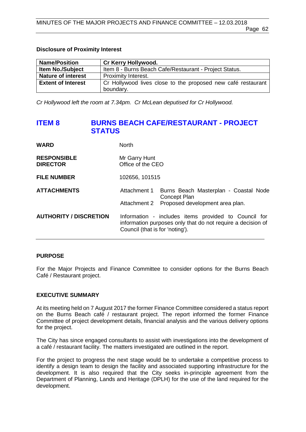#### **Disclosure of Proximity Interest**

| <b>Name/Position</b>      | <b>Cr Kerry Hollywood.</b>                                   |
|---------------------------|--------------------------------------------------------------|
| <b>Item No./Subject</b>   | Item 8 - Burns Beach Cafe/Restaurant - Project Status.       |
| <b>Nature of interest</b> | Proximity Interest.                                          |
| <b>Extent of Interest</b> | Cr Hollywood lives close to the proposed new café restaurant |
|                           | boundary.                                                    |

*Cr Hollywood left the room at 7.34pm. Cr McLean deputised for Cr Hollywood.*

# **ITEM 8 BURNS BEACH CAFE/RESTAURANT - PROJECT STATUS**

| <b>WARD</b>                           | <b>North</b>                       |                                                                                                                     |  |  |  |
|---------------------------------------|------------------------------------|---------------------------------------------------------------------------------------------------------------------|--|--|--|
| <b>RESPONSIBLE</b><br><b>DIRECTOR</b> | Mr Garry Hunt<br>Office of the CEO |                                                                                                                     |  |  |  |
| <b>FILE NUMBER</b>                    | 102656, 101515                     |                                                                                                                     |  |  |  |
| <b>ATTACHMENTS</b>                    | Attachment 1<br>Attachment 2       | Burns Beach Masterplan - Coastal Node<br>Concept Plan<br>Proposed development area plan.                            |  |  |  |
| <b>AUTHORITY / DISCRETION</b>         | Council (that is for 'noting').    | Information - includes items provided to Council for<br>information purposes only that do not require a decision of |  |  |  |

# **PURPOSE**

For the Major Projects and Finance Committee to consider options for the Burns Beach Café / Restaurant project.

# **EXECUTIVE SUMMARY**

At its meeting held on 7 August 2017 the former Finance Committee considered a status report on the Burns Beach café / restaurant project. The report informed the former Finance Committee of project development details, financial analysis and the various delivery options for the project.

The City has since engaged consultants to assist with investigations into the development of a café / restaurant facility. The matters investigated are outlined in the report.

For the project to progress the next stage would be to undertake a competitive process to identify a design team to design the facility and associated supporting infrastructure for the development. It is also required that the City seeks in-principle agreement from the Department of Planning, Lands and Heritage (DPLH) for the use of the land required for the development.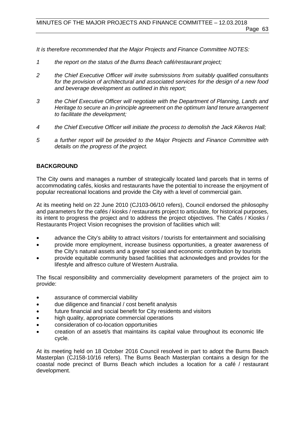*It is therefore recommended that the Major Projects and Finance Committee NOTES:*

- *1 the report on the status of the Burns Beach café/restaurant project;*
- *2 the Chief Executive Officer will invite submissions from suitably qualified consultants for the provision of architectural and associated services for the design of a new food and beverage development as outlined in this report;*
- *3 the Chief Executive Officer will negotiate with the Department of Planning, Lands and Heritage to secure an in-principle agreement on the optimum land tenure arrangement to facilitate the development;*
- *4 the Chief Executive Officer will initiate the process to demolish the Jack Kikeros Hall;*
- *5 a further report will be provided to the Major Projects and Finance Committee with details on the progress of the project.*

# **BACKGROUND**

The City owns and manages a number of strategically located land parcels that in terms of accommodating cafés, kiosks and restaurants have the potential to increase the enjoyment of popular recreational locations and provide the City with a level of commercial gain.

At its meeting held on 22 June 2010 (CJ103-06/10 refers), Council endorsed the philosophy and parameters for the cafés / kiosks / restaurants project to articulate, for historical purposes, its intent to progress the project and to address the project objectives. The Cafés / Kiosks / Restaurants Project Vision recognises the provision of facilities which will:

- advance the City's ability to attract visitors / tourists for entertainment and socialising
- provide more employment, increase business opportunities, a greater awareness of the City's natural assets and a greater social and economic contribution by tourists
- provide equitable community based facilities that acknowledges and provides for the lifestyle and alfresco culture of Western Australia.

The fiscal responsibility and commerciality development parameters of the project aim to provide:

- assurance of commercial viability
- due diligence and financial / cost benefit analysis
- future financial and social benefit for City residents and visitors
- high quality, appropriate commercial operations
- consideration of co-location opportunities
- creation of an asset/s that maintains its capital value throughout its economic life cycle.

At its meeting held on 18 October 2016 Council resolved in part to adopt the Burns Beach Masterplan (CJ158-10/16 refers). The Burns Beach Masterplan contains a design for the coastal node precinct of Burns Beach which includes a location for a café / restaurant development.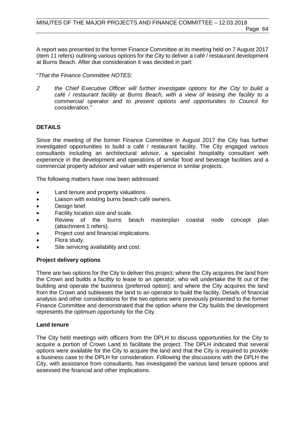A report was presented to the former Finance Committee at its meeting held on 7 August 2017 (item 11 refers) outlining various options for the City to deliver a café / restaurant development at Burns Beach. After due consideration it was decided in part:

"*That the Finance Committee NOTES:*

*2 the Chief Executive Officer will further investigate options for the City to build a café / restaurant facility at Burns Beach, with a view of leasing the facility to a commercial operator and to present options and opportunities to Council for consideration."*

# **DETAILS**

Since the meeting of the former Finance Committee in August 2017 the City has further investigated opportunities to build a café / restaurant facility. The City engaged various consultants including an architectural advisor, a specialist hospitality consultant with experience in the development and operations of similar food and beverage facilities and a commercial property advisor and valuer with experience in similar projects.

The following matters have now been addressed:

- Land tenure and property valuations.
- Liaison with existing burns beach café owners.
- Design brief.
- Facility location size and scale.
- Review of the burns beach masterplan coastal node concept plan (attachment 1 refers).
- Project cost and financial implications.
- Flora study.
- Site servicing availability and cost.

# **Project delivery options**

There are two options for the City to deliver this project: where the City acquires the land from the Crown and builds a facility to lease to an operator, who will undertake the fit out of the building and operate the business (preferred option); and where the City acquires the land from the Crown and subleases the land to an operator to build the facility. Details of financial analysis and other considerations for the two options were previously presented to the former Finance Committee and demonstrated that the option where the City builds the development represents the optimum opportunity for the City.

#### **Land tenure**

The City held meetings with officers from the DPLH to discuss opportunities for the City to acquire a portion of Crown Land to facilitate the project. The DPLH indicated that several options were available for the City to acquire the land and that the City is required to provide a business case to the DPLH for consideration. Following the discussions with the DPLH the City, with assistance from consultants, has investigated the various land tenure options and assessed the financial and other implications.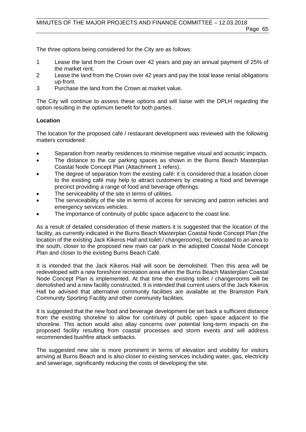The three options being considered for the City are as follows:

- 1 Lease the land from the Crown over 42 years and pay an annual payment of 25% of the market rent.
- 2 Lease the land from the Crown over 42 years and pay the total lease rental obligations up-front.
- 3 Purchase the land from the Crown at market value.

The City will continue to assess these options and will liaise with the DPLH regarding the option resulting in the optimum benefit for both parties.

#### **Location**

The location for the proposed café / restaurant development was reviewed with the following matters considered:

- Separation from nearby residences to minimise negative visual and acoustic impacts.
- The distance to the car parking spaces as shown in the Burns Beach Masterplan Coastal Node Concept Plan (Attachment 1 refers).
- The degree of separation from the existing café: it is considered that a location closer to the existing café may help to attract customers by creating a food and beverage precinct providing a range of food and beverage offerings.
- The serviceability of the site in terms of utilities.
- The serviceability of the site in terms of access for servicing and patron vehicles and emergency services vehicles.
- The importance of continuity of public space adjacent to the coast line.

As a result of detailed consideration of these matters it is suggested that the location of the facility, as currently indicated in the Burns Beach Masterplan Coastal Node Concept Plan (the location of the existing Jack Kikeros Hall and toilet / changerooms), be relocated to an area to the south, closer to the proposed new main car park in the adopted Coastal Node Concept Plan and closer to the existing Burns Beach Café.

It is intended that the Jack Kikeros Hall will soon be demolished. Then this area will be redeveloped with a new foreshore recreation area when the Burns Beach Masterplan Coastal Node Concept Plan is implemented. At that time the existing toilet / changerooms will be demolished and a new facility constructed. It is intended that current users of the Jack Kikeros Hall be advised that alternative community facilities are available at the Bramston Park Community Sporting Facility and other community facilities.

It is suggested that the new food and beverage development be set back a sufficient distance from the existing shoreline to allow for continuity of public open space adjacent to the shoreline. This action would also allay concerns over potential long-term impacts on the proposed facility resulting from coastal processes and storm events and will address recommended bushfire attack setbacks.

The suggested new site is more prominent in terms of elevation and visibility for visitors arriving at Burns Beach and is also closer to existing services including water, gas, electricity and sewerage, significantly reducing the costs of developing the site.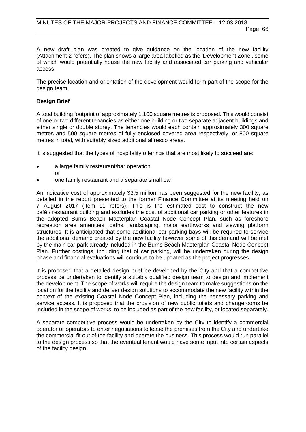A new draft plan was created to give guidance on the location of the new facility (Attachment 2 refers). The plan shows a large area labelled as the 'Development Zone', some of which would potentially house the new facility and associated car parking and vehicular access.

The precise location and orientation of the development would form part of the scope for the design team.

#### **Design Brief**

A total building footprint of approximately 1,100 square metres is proposed. This would consist of one or two different tenancies as either one building or two separate adjacent buildings and either single or double storey. The tenancies would each contain approximately 300 square metres and 500 square metres of fully enclosed covered area respectively, or 800 square metres in total, with suitably sized additional alfresco areas.

It is suggested that the types of hospitality offerings that are most likely to succeed are:

- a large family restaurant/bar operation
	- or
- one family restaurant and a separate small bar.

An indicative cost of approximately \$3.5 million has been suggested for the new facility, as detailed in the report presented to the former Finance Committee at its meeting held on 7 August 2017 (Item 11 refers). This is the estimated cost to construct the new café / restaurant building and excludes the cost of additional car parking or other features in the adopted Burns Beach Masterplan Coastal Node Concept Plan, such as foreshore recreation area amenities, paths, landscaping, major earthworks and viewing platform structures. It is anticipated that some additional car parking bays will be required to service the additional demand created by the new facility however some of this demand will be met by the main car park already included in the Burns Beach Masterplan Coastal Node Concept Plan. Further costings, including that of car parking, will be undertaken during the design phase and financial evaluations will continue to be updated as the project progresses.

It is proposed that a detailed design brief be developed by the City and that a competitive process be undertaken to identify a suitably qualified design team to design and implement the development. The scope of works will require the design team to make suggestions on the location for the facility and deliver design solutions to accommodate the new facility within the context of the existing Coastal Node Concept Plan, including the necessary parking and service access. It is proposed that the provision of new public toilets and changerooms be included in the scope of works, to be included as part of the new facility, or located separately.

A separate competitive process would be undertaken by the City to identify a commercial operator or operators to enter negotiations to lease the premises from the City and undertake the commercial fit out of the facility and operate the business. This process would run parallel to the design process so that the eventual tenant would have some input into certain aspects of the facility design.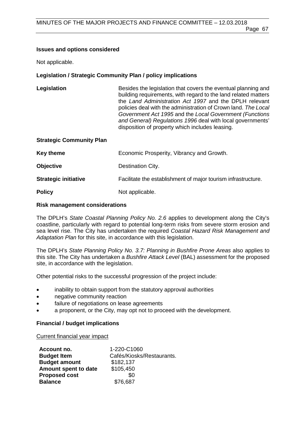#### **Issues and options considered**

Not applicable.

### **Legislation / Strategic Community Plan / policy implications**

| Legislation                     | Besides the legislation that covers the eventual planning and<br>building requirements, with regard to the land related matters<br>the Land Administration Act 1997 and the DPLH relevant<br>policies deal with the administration of Crown land. The Local<br>Government Act 1995 and the Local Government (Functions<br>and General) Regulations 1996 deal with local governments'<br>disposition of property which includes leasing. |
|---------------------------------|-----------------------------------------------------------------------------------------------------------------------------------------------------------------------------------------------------------------------------------------------------------------------------------------------------------------------------------------------------------------------------------------------------------------------------------------|
| <b>Strategic Community Plan</b> |                                                                                                                                                                                                                                                                                                                                                                                                                                         |
| Koy thoma                       | Economic Prospective Vibrancy and Crowth                                                                                                                                                                                                                                                                                                                                                                                                |

| <b>ITCA THEILE</b>          | LCONOMIC FIOSPEIRY, VIDIMICY AND GLOWER.                      |
|-----------------------------|---------------------------------------------------------------|
| <b>Objective</b>            | Destination City.                                             |
| <b>Strategic initiative</b> | Facilitate the establishment of major tourism infrastructure. |
| <b>Policy</b>               | Not applicable.                                               |

#### **Risk management considerations**

The DPLH's *State Coastal Planning Policy No. 2.6* applies to development along the City's coastline, particularly with regard to potential long-term risks from severe storm erosion and sea level rise. The City has undertaken the required *Coastal Hazard Risk Management and Adaptation Plan* for this site, in accordance with this legislation.

The DPLH's *State Planning Policy No. 3.7: Planning in Bushfire Prone Areas* also applies to this site. The City has undertaken a *Bushfire Attack Level* (BAL) assessment for the proposed site, in accordance with the legislation.

Other potential risks to the successful progression of the project include:

- inability to obtain support from the statutory approval authorities
- negative community reaction
- failure of negotiations on lease agreements
- a proponent, or the City, may opt not to proceed with the development.

# **Financial / budget implications**

Current financial year impact

| Account no.          | 1-220-C1060               |
|----------------------|---------------------------|
| <b>Budget Item</b>   | Cafés/Kiosks/Restaurants. |
| <b>Budget amount</b> | \$182,137                 |
| Amount spent to date | \$105,450                 |
| <b>Proposed cost</b> | \$0                       |
| <b>Balance</b>       | \$76,687                  |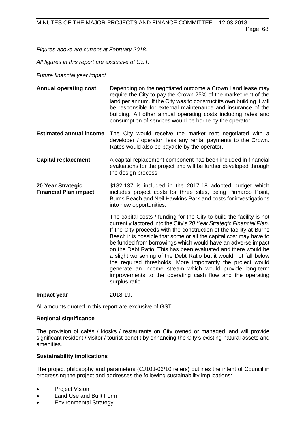Page 68

*Figures above are current at February 2018.* 

*All figures in this report are exclusive of GST.*

# *Future financial year impact*

- **Annual operating cost** Depending on the negotiated outcome a Crown Land lease may require the City to pay the Crown 25% of the market rent of the land per annum. If the City was to construct its own building it will be responsible for external maintenance and insurance of the building. All other annual operating costs including rates and consumption of services would be borne by the operator.
- **Estimated annual income** The City would receive the market rent negotiated with a developer / operator, less any rental payments to the Crown. Rates would also be payable by the operator.
- **Capital replacement** A capital replacement component has been included in financial evaluations for the project and will be further developed through the design process.
- **20 Year Strategic Financial Plan impact**  \$182,137 is included in the 2017-18 adopted budget which includes project costs for three sites, being Pinnaroo Point, Burns Beach and Neil Hawkins Park and costs for investigations into new opportunities.

The capital costs / funding for the City to build the facility is not currently factored into the City's *20 Year Strategic Financial Plan*. If the City proceeds with the construction of the facility at Burns Beach it is possible that some or all the capital cost may have to be funded from borrowings which would have an adverse impact on the Debt Ratio. This has been evaluated and there would be a slight worsening of the Debt Ratio but it would not fall below the required thresholds. More importantly the project would generate an income stream which would provide long-term improvements to the operating cash flow and the operating surplus ratio.

**Impact year** 2018-19.

All amounts quoted in this report are exclusive of GST.

# **Regional significance**

The provision of cafés / kiosks / restaurants on City owned or managed land will provide significant resident / visitor / tourist benefit by enhancing the City's existing natural assets and amenities.

# **Sustainability implications**

The project philosophy and parameters (CJ103-06/10 refers) outlines the intent of Council in progressing the project and addresses the following sustainability implications:

- **Project Vision**
- Land Use and Built Form
- Environmental Strategy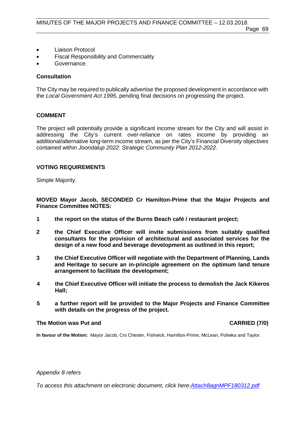- Liaison Protocol
- Fiscal Responsibility and Commerciality
- Governance.

# **Consultation**

The City may be required to publically advertise the proposed development in accordance with the *Local Government Act 1995*, pending final decisions on progressing the project.

# **COMMENT**

The project will potentially provide a significant income stream for the City and will assist in addressing the City's current over-reliance on rates income by providing an additional/alternative long-term income stream, as per the City's Financial Diversity objectives contained within *Joondalup 2022: Strategic Community Plan 2012-2022.*

# **VOTING REQUIREMENTS**

Simple Majority.

**MOVED Mayor Jacob, SECONDED Cr Hamilton-Prime that the Major Projects and Finance Committee NOTES:**

- **1 the report on the status of the Burns Beach café / restaurant project;**
- **2 the Chief Executive Officer will invite submissions from suitably qualified consultants for the provision of architectural and associated services for the design of a new food and beverage development as outlined in this report;**
- **3 the Chief Executive Officer will negotiate with the Department of Planning, Lands and Heritage to secure an in-principle agreement on the optimum land tenure arrangement to facilitate the development;**
- **4 the Chief Executive Officer will initiate the process to demolish the Jack Kikeros Hall;**
- **5 a further report will be provided to the Major Projects and Finance Committee with details on the progress of the project.**

# **The Motion was Put and CARRIED (7/0)**

**In favour of the Motion:** Mayor Jacob, Crs Chester, Fishwick, Hamilton-Prime, McLean, Poliwka and Taylor.

#### *Appendix 8 refers*

*To access this attachment on electronic document, click [here:Attach8agnMPF180312.pdf](http://www.joondalup.wa.gov.au/files/committees/MPFI/2018/Attach8agnMPF180312.pdf)*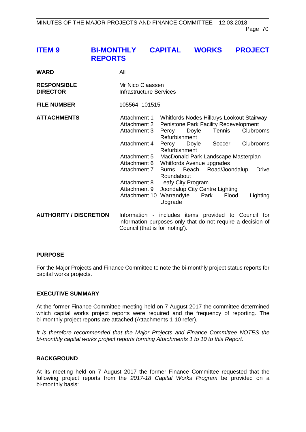| <b>ITEM9</b>                          | <b>BI-MONTHLY</b><br><b>REPORTS</b> |                                              | <b>CAPITAL</b>         | <b>WORKS</b> |        | <b>PROJECT</b>                                                                                         |  |
|---------------------------------------|-------------------------------------|----------------------------------------------|------------------------|--------------|--------|--------------------------------------------------------------------------------------------------------|--|
| WARD                                  | All                                 |                                              |                        |              |        |                                                                                                        |  |
| <b>RESPONSIBLE</b><br><b>DIRECTOR</b> |                                     | Mr Nico Claassen<br>Infrastructure Services  |                        |              |        |                                                                                                        |  |
| <b>FILE NUMBER</b>                    |                                     | 105564, 101515                               |                        |              |        |                                                                                                        |  |
| <b>ATTACHMENTS</b>                    |                                     | Attachment 1<br>Attachment 2<br>Attachment 3 | Percy<br>Refurbishment | Doyle        | Tennis | Whitfords Nodes Hillarys Lookout Stairway<br><b>Penistone Park Facility Redevelopment</b><br>Clubrooms |  |

Attachment 4 Percy Doyle Soccer Clubrooms

Attachment 10 Warrandyte Park Flood Lighting

Burns Beach Road/Joondalup Drive

Attachment 5 MacDonald Park Landscape Masterplan

Refurbishment

Attachment 6 Whitfords Avenue upgrades<br>Attachment 7 Burns Beach Road/Joo

Roundabout

Upgrade

Attachment 9 Joondalup City Centre Lighting

Attachment 8 Leafy City Program

| <b>AUTHORITY / DISCRETION</b> | Information - includes items provided to Council for        |  |  |  |  |
|-------------------------------|-------------------------------------------------------------|--|--|--|--|
|                               | information purposes only that do not require a decision of |  |  |  |  |
|                               | Council (that is for 'noting').                             |  |  |  |  |

#### **PURPOSE**

For the Major Projects and Finance Committee to note the bi-monthly project status reports for capital works projects.

#### **EXECUTIVE SUMMARY**

At the former Finance Committee meeting held on 7 August 2017 the committee determined which capital works project reports were required and the frequency of reporting. The bi-monthly project reports are attached (Attachments 1-10 refer).

*It is therefore recommended that the Major Projects and Finance Committee NOTES the bi-monthly capital works project reports forming Attachments 1 to 10 to this Report.*

# **BACKGROUND**

At its meeting held on 7 August 2017 the former Finance Committee requested that the following project reports from the *2017-18 Capital Works Program* be provided on a bi-monthly basis: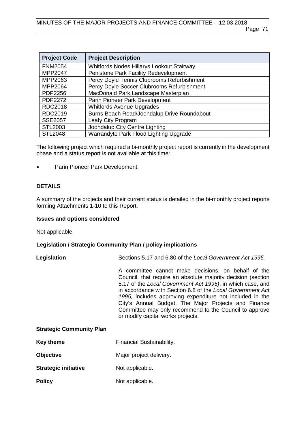| <b>Project Code</b> | <b>Project Description</b>                  |
|---------------------|---------------------------------------------|
| <b>FNM2054</b>      | Whitfords Nodes Hillarys Lookout Stairway   |
| MPP2047             | Penistone Park Facility Redevelopment       |
| MPP2063             | Percy Doyle Tennis Clubrooms Refurbishment  |
| MPP2064             | Percy Doyle Soccer Clubrooms Refurbishment  |
| PDP2256             | MacDonald Park Landscape Masterplan         |
| PDP2272             | Parin Pioneer Park Development              |
| <b>RDC2018</b>      | <b>Whitfords Avenue Upgrades</b>            |
| RDC2019             | Burns Beach Road/Joondalup Drive Roundabout |
| <b>SSE2057</b>      | Leafy City Program                          |
| STL2003             | Joondalup City Centre Lighting              |
| <b>STL2048</b>      | Warrandyte Park Flood Lighting Upgrade      |

The following project which required a bi-monthly project report is currently in the development phase and a status report is not available at this time:

Parin Pioneer Park Development.

# **DETAILS**

A summary of the projects and their current status is detailed in the bi-monthly project reports forming Attachments 1-10 to this Report.

#### **Issues and options considered**

Not applicable.

# **Legislation / Strategic Community Plan / policy implications**

**Legislation** Sections 5.17 and 6.80 of the *Local Government Act 1995.*

A committee cannot make decisions, on behalf of the Council, that require an absolute majority decision (section 5.17 of the *Local Government Act 1995)*, in which case, and in accordance with Section 6.8 of the *Local Government Act 1995,* includes approving expenditure not included in the City's Annual Budget. The Major Projects and Finance Committee may only recommend to the Council to approve or modify capital works projects.

### **Strategic Community Plan**

- **Objective** Major project delivery.
- **Strategic initiative** Not applicable.
- **Policy** Not applicable.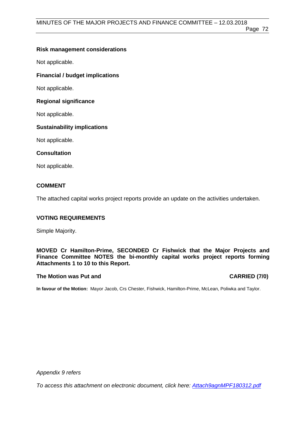### **Risk management considerations**

Not applicable.

# **Financial / budget implications**

Not applicable.

#### **Regional significance**

Not applicable.

### **Sustainability implications**

Not applicable.

#### **Consultation**

Not applicable.

#### **COMMENT**

The attached capital works project reports provide an update on the activities undertaken.

### **VOTING REQUIREMENTS**

Simple Majority.

### **MOVED Cr Hamilton-Prime, SECONDED Cr Fishwick that the Major Projects and Finance Committee NOTES the bi-monthly capital works project reports forming Attachments 1 to 10 to this Report.**

#### **The Motion was Put and CARRIED (7/0)**

**In favour of the Motion:** Mayor Jacob, Crs Chester, Fishwick, Hamilton-Prime, McLean, Poliwka and Taylor.

*Appendix 9 refers*

*To access this attachment on electronic document, click he[re: Attach9agnMPF180312.pdf](http://www.joondalup.wa.gov.au/files/committees/MPFI/2018/Attach9agnMPF180312.pdf)*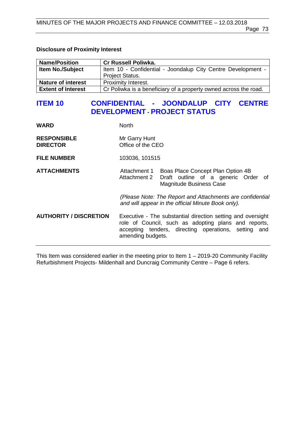#### **Disclosure of Proximity Interest**

| <b>Name/Position</b>      | <b>Cr Russell Poliwka.</b>                                       |  |
|---------------------------|------------------------------------------------------------------|--|
| <b>Item No./Subject</b>   | Item 10 - Confidential - Joondalup City Centre Development -     |  |
|                           | <b>Project Status.</b>                                           |  |
| <b>Nature of interest</b> | Proximity Interest.                                              |  |
| <b>Extent of Interest</b> | Cr Poliwka is a beneficiary of a property owned across the road. |  |

# **ITEM 10 CONFIDENTIAL - JOONDALUP CITY CENTRE DEVELOPMENT - PROJECT STATUS**

| <b>WARD</b>                           | <b>North</b>                                                                                                                                                                                     |  |
|---------------------------------------|--------------------------------------------------------------------------------------------------------------------------------------------------------------------------------------------------|--|
| <b>RESPONSIBLE</b><br><b>DIRECTOR</b> | Mr Garry Hunt<br>Office of the CEO                                                                                                                                                               |  |
| <b>FILE NUMBER</b>                    | 103036, 101515                                                                                                                                                                                   |  |
| <b>ATTACHMENTS</b>                    | Attachment 1<br>Boas Place Concept Plan Option 4B<br>Draft outline of a generic Order of<br>Attachment 2<br><b>Magnitude Business Case</b>                                                       |  |
|                                       | (Please Note: The Report and Attachments are confidential<br>and will appear in the official Minute Book only).                                                                                  |  |
| <b>AUTHORITY / DISCRETION</b>         | Executive - The substantial direction setting and oversight<br>role of Council, such as adopting plans and reports,<br>accepting tenders, directing operations, setting and<br>amending budgets. |  |

This Item was considered earlier in the meeting prior to Item 1 – 2019-20 Community Facility Refurbishment Projects- Mildenhall and Duncraig Community Centre – Page 6 refers.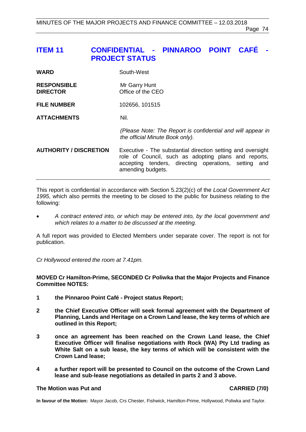# **ITEM 11 CONFIDENTIAL - PINNAROO POINT CAFÉ - PROJECT STATUS**

| <b>WARD</b>                           | South-West                         |
|---------------------------------------|------------------------------------|
| <b>RESPONSIBLE</b><br><b>DIRECTOR</b> | Mr Garry Hunt<br>Office of the CEO |
| <b>FILE NUMBER</b>                    | 102656, 101515                     |

### **ATTACHMENTS** Nil.

*(Please Note: The Report is confidential and will appear in the official Minute Book only).*

## **AUTHORITY / DISCRETION** Executive - The substantial direction setting and oversight role of Council, such as adopting plans and reports, accepting tenders, directing operations, setting and amending budgets.

This report is confidential in accordance with Section 5.23(2)(c) of the *Local Government Act 1995*, which also permits the meeting to be closed to the public for business relating to the following:

• *A contract entered into, or which may be entered into, by the local government and which relates to a matter to be discussed at the meeting.*

A full report was provided to Elected Members under separate cover. The report is not for publication.

*Cr Hollywood entered the room at 7.41pm.*

#### **MOVED Cr Hamilton-Prime, SECONDED Cr Poliwka that the Major Projects and Finance Committee NOTES:**

- **1 the Pinnaroo Point Café - Project status Report;**
- **2 the Chief Executive Officer will seek formal agreement with the Department of Planning, Lands and Heritage on a Crown Land lease, the key terms of which are outlined in this Report;**
- **3 once an agreement has been reached on the Crown Land lease, the Chief Executive Officer will finalise negotiations with Rock (WA) Pty Ltd trading as White Salt on a sub lease, the key terms of which will be consistent with the Crown Land lease;**
- **4 a further report will be presented to Council on the outcome of the Crown Land lease and sub-lease negotiations as detailed in parts 2 and 3 above.**

#### **The Motion was Put and CARRIED (7/0)**

**In favour of the Motion:** Mayor Jacob, Crs Chester, Fishwick, Hamilton-Prime, Hollywood, Poliwka and Taylor.